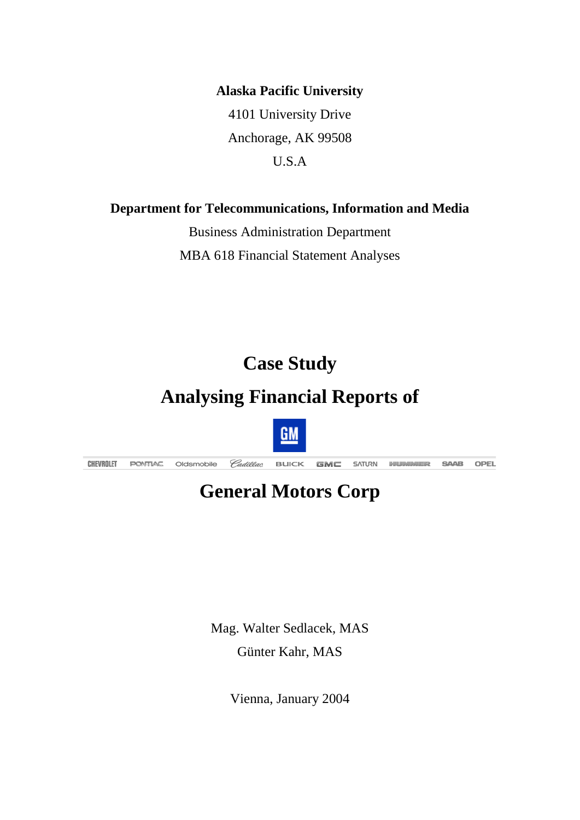**Alaska Pacific University**

4101 University Drive Anchorage, AK 99508 U.S.A

**Department for Telecommunications, Information and Media**

Business Administration Department MBA 618 Financial Statement Analyses

# **Case Study**

# **Analysing Financial Reports of**



# **General Motors Corp**

Mag. Walter Sedlacek, MAS Günter Kahr, MAS

Vienna, January 2004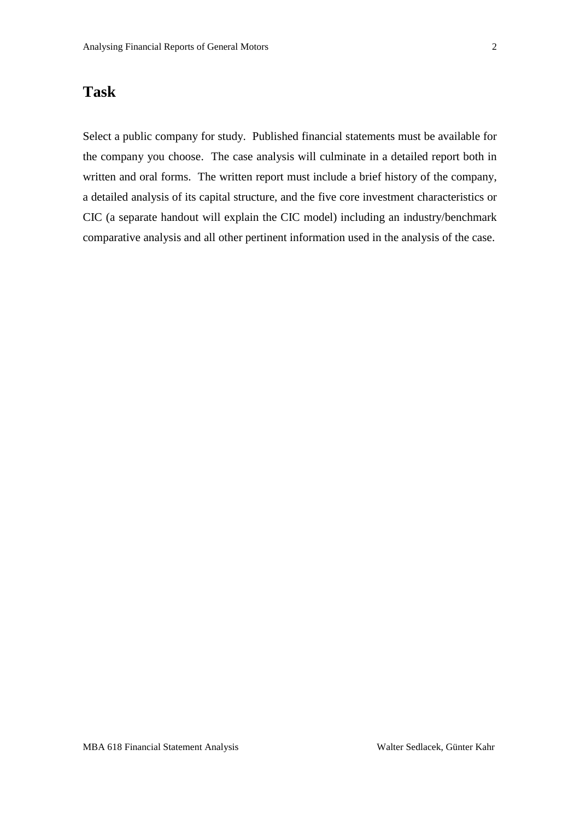# **Task**

Select a public company for study. Published financial statements must be available for the company you choose. The case analysis will culminate in a detailed report both in written and oral forms. The written report must include a brief history of the company, a detailed analysis of its capital structure, and the five core investment characteristics or CIC (a separate handout will explain the CIC model) including an industry/benchmark comparative analysis and all other pertinent information used in the analysis of the case.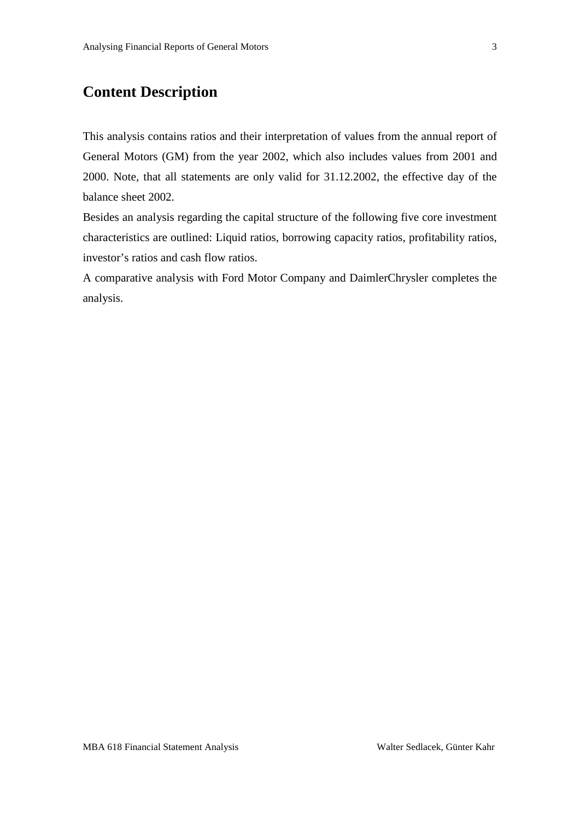# **Content Description**

This analysis contains ratios and their interpretation of values from the annual report of General Motors (GM) from the year 2002, which also includes values from 2001 and 2000. Note, that all statements are only valid for 31.12.2002, the effective day of the balance sheet 2002.

Besides an analysis regarding the capital structure of the following five core investment characteristics are outlined: Liquid ratios, borrowing capacity ratios, profitability ratios, investor's ratios and cash flow ratios.

A comparative analysis with Ford Motor Company and DaimlerChrysler completes the analysis.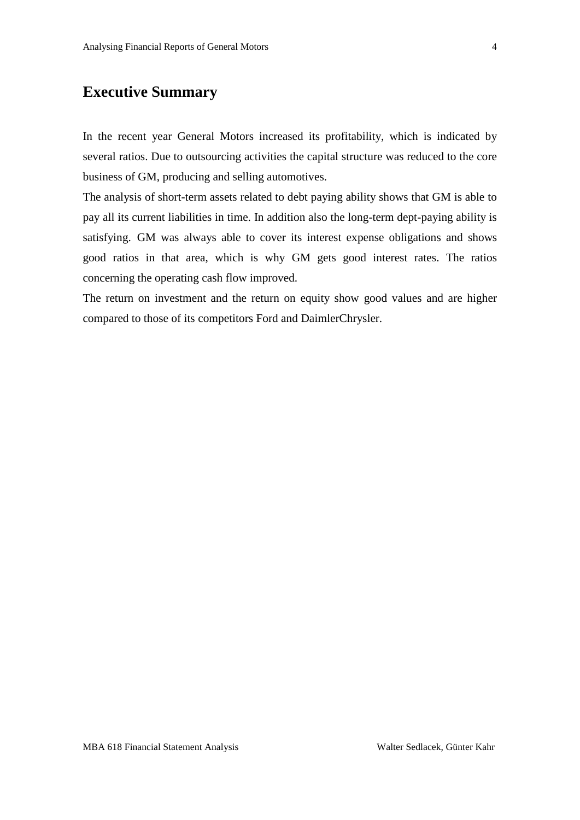# **Executive Summary**

In the recent year General Motors increased its profitability, which is indicated by several ratios. Due to outsourcing activities the capital structure was reduced to the core business of GM, producing and selling automotives.

The analysis of short-term assets related to debt paying ability shows that GM is able to pay all its current liabilities in time. In addition also the long-term dept-paying ability is satisfying. GM was always able to cover its interest expense obligations and shows good ratios in that area, which is why GM gets good interest rates. The ratios concerning the operating cash flow improved.

The return on investment and the return on equity show good values and are higher compared to those of its competitors Ford and DaimlerChrysler.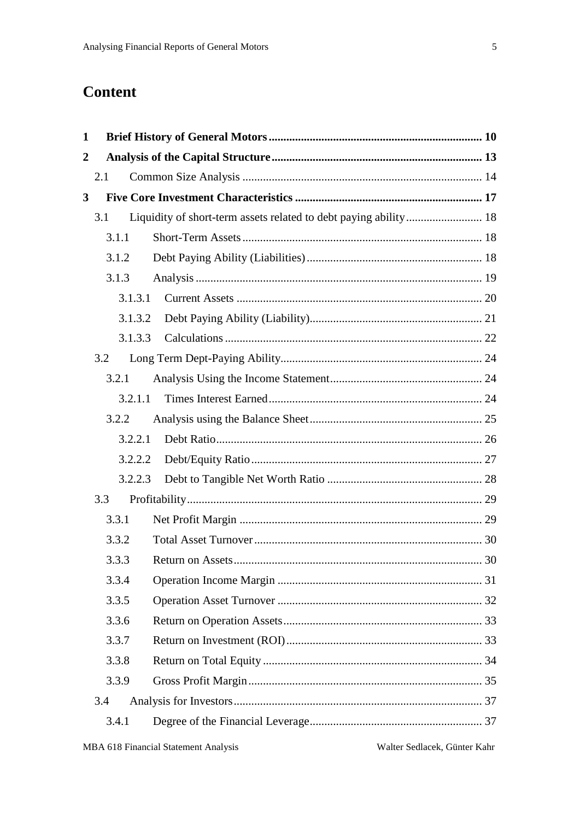# **Content**

| $\mathbf{1}$ |         |                                                                  |  |
|--------------|---------|------------------------------------------------------------------|--|
| $\mathbf 2$  |         |                                                                  |  |
|              | 2.1     |                                                                  |  |
| 3            |         |                                                                  |  |
|              | 3.1     | Liquidity of short-term assets related to debt paying ability 18 |  |
|              | 3.1.1   |                                                                  |  |
|              | 3.1.2   |                                                                  |  |
|              | 3.1.3   |                                                                  |  |
|              | 3.1.3.1 |                                                                  |  |
|              | 3.1.3.2 |                                                                  |  |
|              | 3.1.3.3 |                                                                  |  |
|              | 3.2     |                                                                  |  |
|              | 3.2.1   |                                                                  |  |
|              | 3.2.1.1 |                                                                  |  |
|              | 3.2.2   |                                                                  |  |
|              | 3.2.2.1 |                                                                  |  |
|              | 3.2.2.2 |                                                                  |  |
|              | 3.2.2.3 |                                                                  |  |
|              | 3.3     |                                                                  |  |
|              | 3.3.1   |                                                                  |  |
|              | 3.3.2   |                                                                  |  |
|              | 3.3.3   |                                                                  |  |
|              | 3.3.4   |                                                                  |  |
|              | 3.3.5   |                                                                  |  |
|              | 3.3.6   |                                                                  |  |
|              | 3.3.7   |                                                                  |  |
|              | 3.3.8   |                                                                  |  |
|              | 3.3.9   |                                                                  |  |
|              | 3.4     |                                                                  |  |
|              | 3.4.1   |                                                                  |  |
|              |         |                                                                  |  |

Walter Sedlacek, Günter Kahr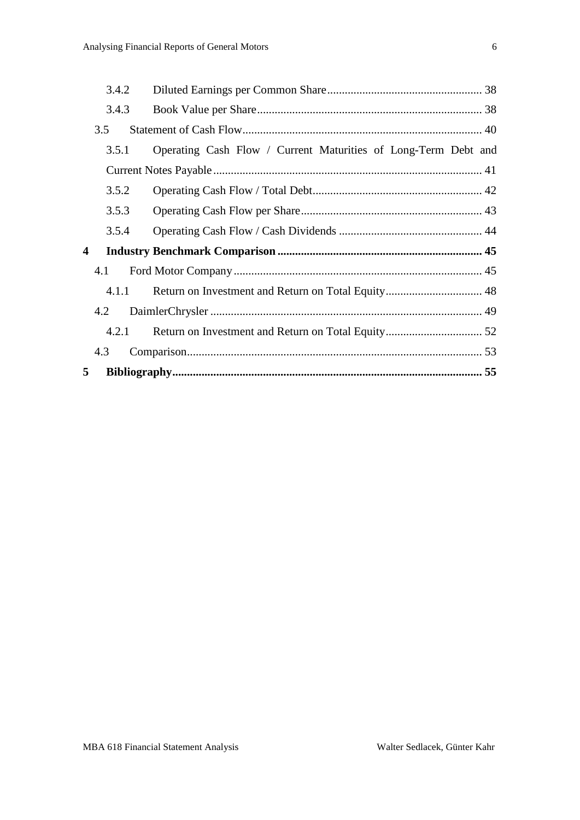|   | 3.4.2 |                                                                |  |
|---|-------|----------------------------------------------------------------|--|
|   | 3.4.3 |                                                                |  |
|   | 3.5   |                                                                |  |
|   | 3.5.1 | Operating Cash Flow / Current Maturities of Long-Term Debt and |  |
|   |       |                                                                |  |
|   | 3.5.2 |                                                                |  |
|   | 3.5.3 |                                                                |  |
|   | 3.5.4 |                                                                |  |
| 4 |       |                                                                |  |
|   | 4.1   |                                                                |  |
|   | 4.1.1 |                                                                |  |
|   | 4.2   |                                                                |  |
|   | 4.2.1 |                                                                |  |
|   | 4.3   |                                                                |  |
| 5 |       |                                                                |  |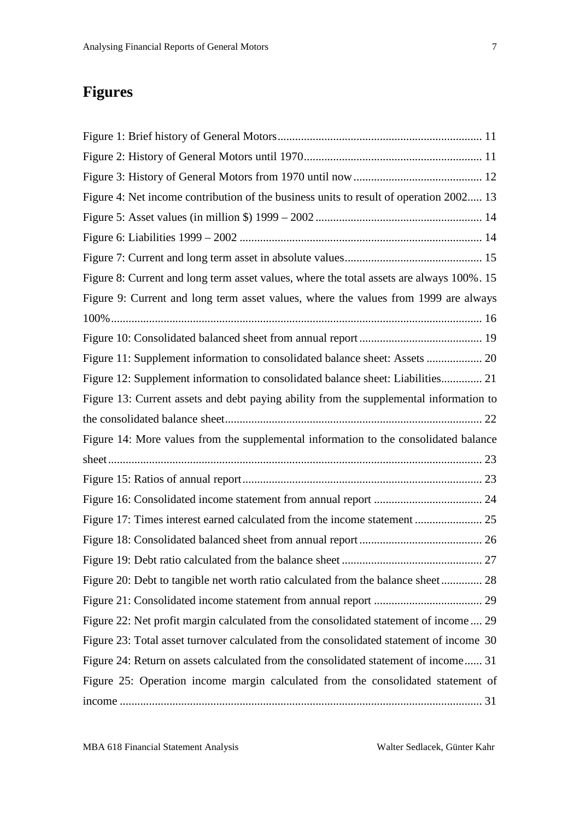# **Figures**

| Figure 4: Net income contribution of the business units to result of operation 2002 13   |
|------------------------------------------------------------------------------------------|
|                                                                                          |
|                                                                                          |
|                                                                                          |
| Figure 8: Current and long term asset values, where the total assets are always 100%. 15 |
| Figure 9: Current and long term asset values, where the values from 1999 are always      |
|                                                                                          |
|                                                                                          |
|                                                                                          |
| Figure 12: Supplement information to consolidated balance sheet: Liabilities 21          |
| Figure 13: Current assets and debt paying ability from the supplemental information to   |
|                                                                                          |
| Figure 14: More values from the supplemental information to the consolidated balance     |
|                                                                                          |
|                                                                                          |
|                                                                                          |
|                                                                                          |
|                                                                                          |
|                                                                                          |
| Figure 20: Debt to tangible net worth ratio calculated from the balance sheet 28         |
|                                                                                          |
| Figure 22: Net profit margin calculated from the consolidated statement of income 29     |
| Figure 23: Total asset turnover calculated from the consolidated statement of income 30  |
| Figure 24: Return on assets calculated from the consolidated statement of income 31      |
| Figure 25: Operation income margin calculated from the consolidated statement of         |
|                                                                                          |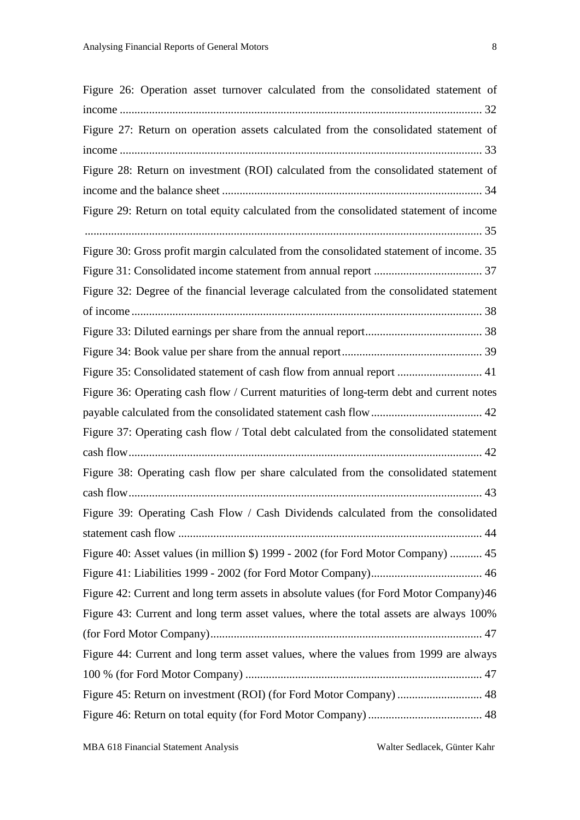| Figure 26: Operation asset turnover calculated from the consolidated statement of       |
|-----------------------------------------------------------------------------------------|
|                                                                                         |
| Figure 27: Return on operation assets calculated from the consolidated statement of     |
|                                                                                         |
| Figure 28: Return on investment (ROI) calculated from the consolidated statement of     |
|                                                                                         |
| Figure 29: Return on total equity calculated from the consolidated statement of income  |
|                                                                                         |
| Figure 30: Gross profit margin calculated from the consolidated statement of income. 35 |
|                                                                                         |
| Figure 32: Degree of the financial leverage calculated from the consolidated statement  |
|                                                                                         |
|                                                                                         |
|                                                                                         |
| Figure 35: Consolidated statement of cash flow from annual report  41                   |
| Figure 36: Operating cash flow / Current maturities of long-term debt and current notes |
|                                                                                         |
| Figure 37: Operating cash flow / Total debt calculated from the consolidated statement  |
|                                                                                         |
| Figure 38: Operating cash flow per share calculated from the consolidated statement     |
|                                                                                         |
| Figure 39: Operating Cash Flow / Cash Dividends calculated from the consolidated        |
|                                                                                         |
| Figure 40: Asset values (in million \$) 1999 - 2002 (for Ford Motor Company)  45        |
|                                                                                         |
| Figure 42: Current and long term assets in absolute values (for Ford Motor Company) 46  |
| Figure 43: Current and long term asset values, where the total assets are always 100%   |
|                                                                                         |
| Figure 44: Current and long term asset values, where the values from 1999 are always    |
|                                                                                         |
| Figure 45: Return on investment (ROI) (for Ford Motor Company)  48                      |
|                                                                                         |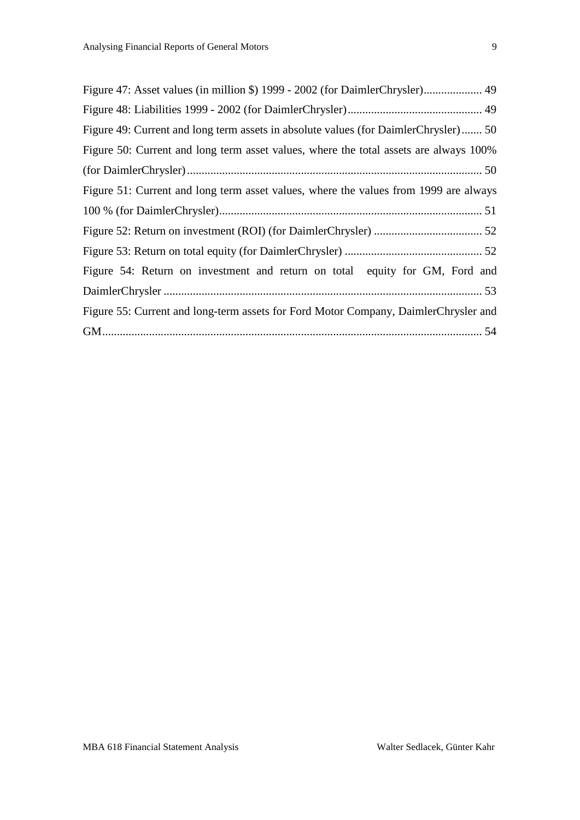| Figure 47: Asset values (in million \$) 1999 - 2002 (for DaimlerChrysler) 49          |
|---------------------------------------------------------------------------------------|
|                                                                                       |
| Figure 49: Current and long term assets in absolute values (for DaimlerChrysler) 50   |
| Figure 50: Current and long term asset values, where the total assets are always 100% |
|                                                                                       |
| Figure 51: Current and long term asset values, where the values from 1999 are always  |
|                                                                                       |
|                                                                                       |
|                                                                                       |
| Figure 54: Return on investment and return on total equity for GM, Ford and           |
|                                                                                       |
| Figure 55: Current and long-term assets for Ford Motor Company, DaimlerChrysler and   |
|                                                                                       |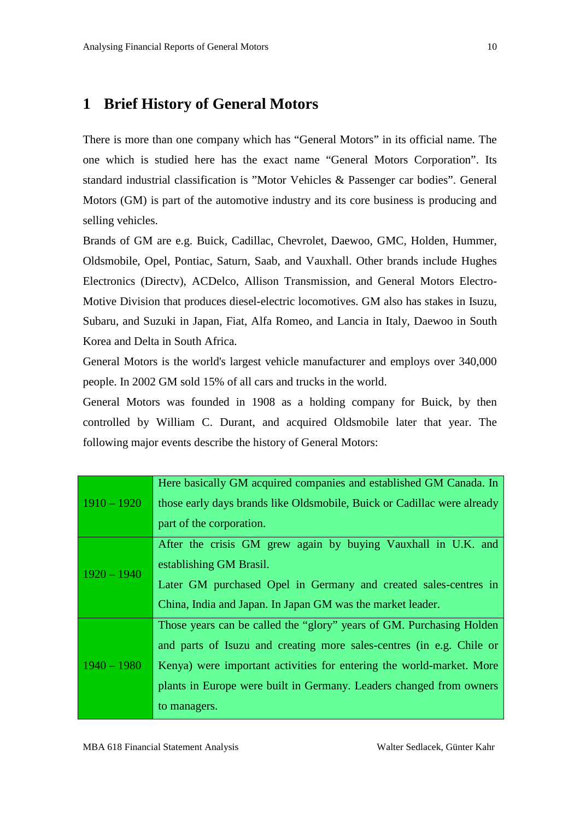# <span id="page-9-0"></span>**1 Brief History of General Motors**

There is more than one company which has "General Motors" in its official name. The one which is studied here has the exact name "General Motors Corporation". Its standard industrial classification is "Motor Vehicles & Passenger car bodies". General Motors (GM) is part of the automotive industry and its core business is producing and selling vehicles.

Brands of GM are e.g. Buick, Cadillac, Chevrolet, Daewoo, GMC, Holden, Hummer, Oldsmobile, Opel, Pontiac, Saturn, Saab, and Vauxhall. Other brands include Hughes Electronics (Directv), ACDelco, Allison Transmission, and General Motors Electro-Motive Division that produces diesel-electric locomotives. GM also has stakes in Isuzu, Subaru, and Suzuki in Japan, Fiat, Alfa Romeo, and Lancia in Italy, Daewoo in South Korea and Delta in South Africa.

General Motors is the world's largest vehicle manufacturer and employs over 340,000 people. In 2002 GM sold 15% of all cars and trucks in the world.

General Motors was founded in 1908 as a holding company for Buick, by then controlled by William C. Durant, and acquired Oldsmobile later that year. The following major events describe the history of General Motors:

|               | Here basically GM acquired companies and established GM Canada. In      |
|---------------|-------------------------------------------------------------------------|
| $1910 - 1920$ | those early days brands like Oldsmobile, Buick or Cadillac were already |
|               | part of the corporation.                                                |
|               | After the crisis GM grew again by buying Vauxhall in U.K. and           |
|               | establishing GM Brasil.                                                 |
| $1920 - 1940$ | Later GM purchased Opel in Germany and created sales-centres in         |
|               | China, India and Japan. In Japan GM was the market leader.              |
|               | Those years can be called the "glory" years of GM. Purchasing Holden    |
|               | and parts of Isuzu and creating more sales-centres (in e.g. Chile or    |
| $1940 - 1980$ | Kenya) were important activities for entering the world-market. More    |
|               | plants in Europe were built in Germany. Leaders changed from owners     |
|               | to managers.                                                            |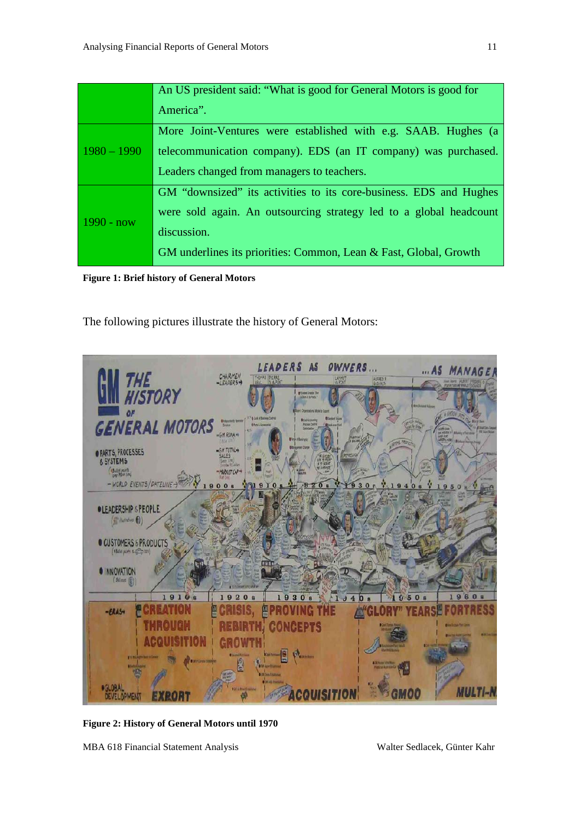|               | An US president said: "What is good for General Motors is good for |
|---------------|--------------------------------------------------------------------|
|               | America".                                                          |
|               | More Joint-Ventures were established with e.g. SAAB. Hughes (a     |
| $1980 - 1990$ | telecommunication company). EDS (an IT company) was purchased.     |
|               | Leaders changed from managers to teachers.                         |
|               | GM "downsized" its activities to its core-business. EDS and Hughes |
| $1990 - now$  | were sold again. An outsourcing strategy led to a global headcount |
|               | discussion.                                                        |
|               | GM underlines its priorities: Common, Lean & Fast, Global, Growth  |

<span id="page-10-0"></span>**Figure 1: Brief history of General Motors**

The following pictures illustrate the history of General Motors:



**Figure 2: History of General Motors until 1970**

<span id="page-10-1"></span>MBA 618 Financial Statement Analysis Walter Sedlacek, Günter Kahr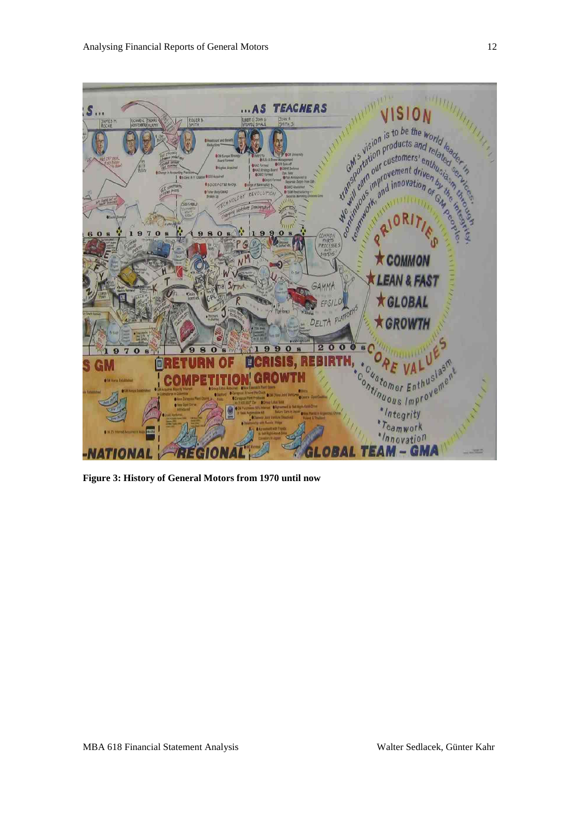

<span id="page-11-0"></span>**Figure 3: History of General Motors from 1970 until now**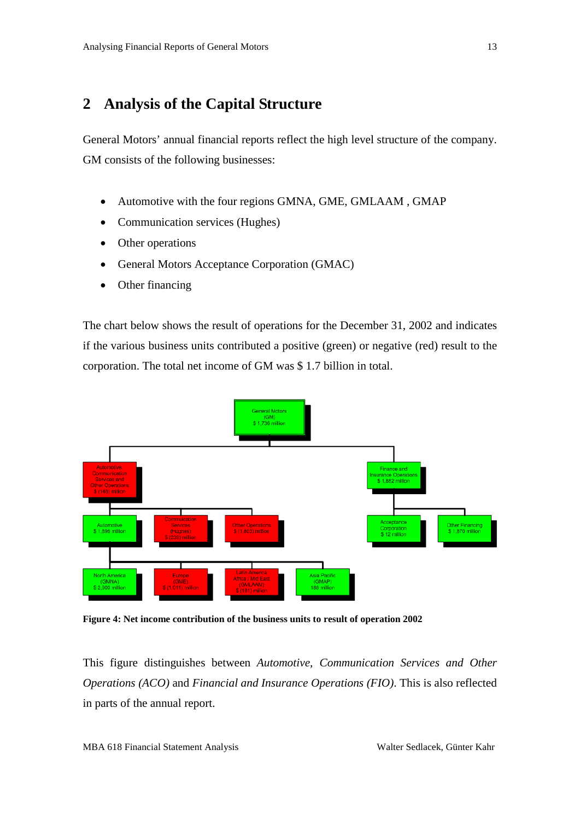# <span id="page-12-0"></span>**2 Analysis of the Capital Structure**

General Motors' annual financial reports reflect the high level structure of the company. GM consists of the following businesses:

- Automotive with the four regions GMNA, GME, GMLAAM , GMAP
- Communication services (Hughes)
- Other operations
- General Motors Acceptance Corporation (GMAC)
- Other financing

The chart below shows the result of operations for the December 31, 2002 and indicates if the various business units contributed a positive (green) or negative (red) result to the corporation. The total net income of GM was \$ 1.7 billion in total.



<span id="page-12-1"></span>**Figure 4: Net income contribution of the business units to result of operation 2002**

This figure distinguishes between *Automotive, Communication Services and Other Operations (ACO)* and *Financial and Insurance Operations (FIO)*. This is also reflected in parts of the annual report.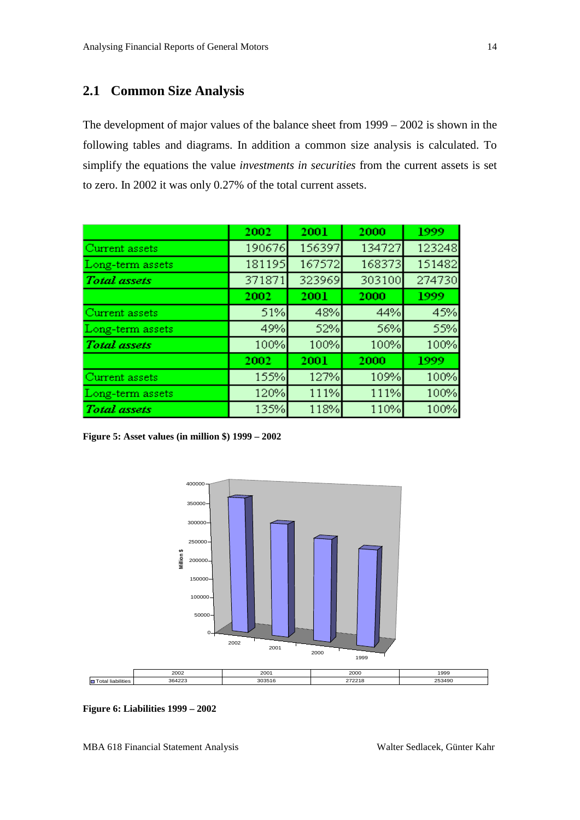# <span id="page-13-0"></span>**2.1 Common Size Analysis**

The development of major values of the balance sheet from 1999 – 2002 is shown in the following tables and diagrams. In addition a common size analysis is calculated. To simplify the equations the value *investments in securities* from the current assets is set to zero. In 2002 it was only 0.27% of the total current assets.

|                     | 2002   | 2001   | 2000   | 1999   |
|---------------------|--------|--------|--------|--------|
| Current assets      | 190676 | 156397 | 134727 | 123248 |
| Long-term assets    | 181195 | 167572 | 168373 | 151482 |
| <b>Total</b> assets | 371871 | 323969 | 303100 | 274730 |
|                     | 2002   | 2001   | 2000   | 1999   |
| Current assets      | 51%    | 48%    | 44%    | 45%    |
| Long-term assets    | 49%    | 52%    | 56%    | 55%    |
| <b>Total</b> assets | 100%   | 100%   | 100%   | 100%   |
|                     | 2002   | 2001   | 2000   | 1999   |
| Current assets      | 155%   | 127%   | 109%   | 100%   |
| Long-term assets    | 120%   | 111%   | 111%   | 100%   |
| <b>Total</b> assets | 135%   | 118%   | 110%   | 100%   |

<span id="page-13-1"></span>**Figure 5: Asset values (in million \$) 1999 – 2002**



<span id="page-13-2"></span>**Figure 6: Liabilities 1999 – 2002**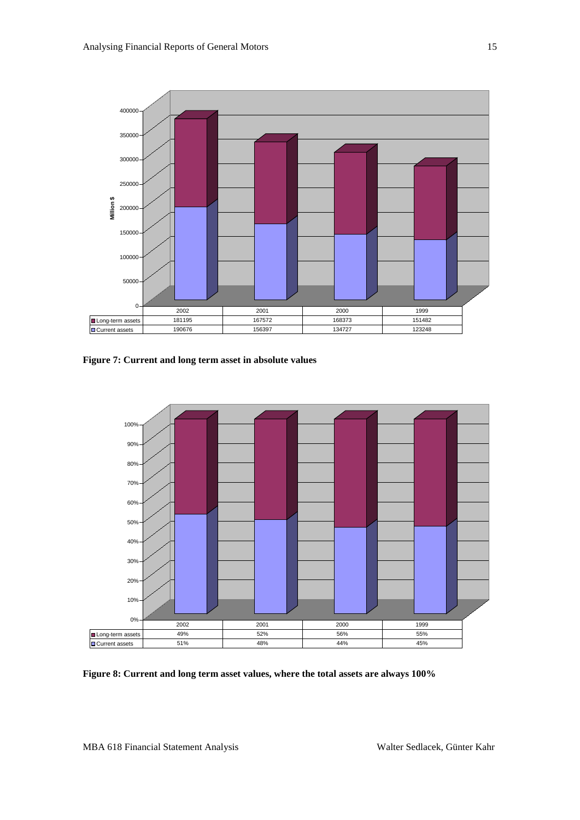

<span id="page-14-0"></span>**Figure 7: Current and long term asset in absolute values**



<span id="page-14-1"></span>**Figure 8: Current and long term asset values, where the total assets are always 100%**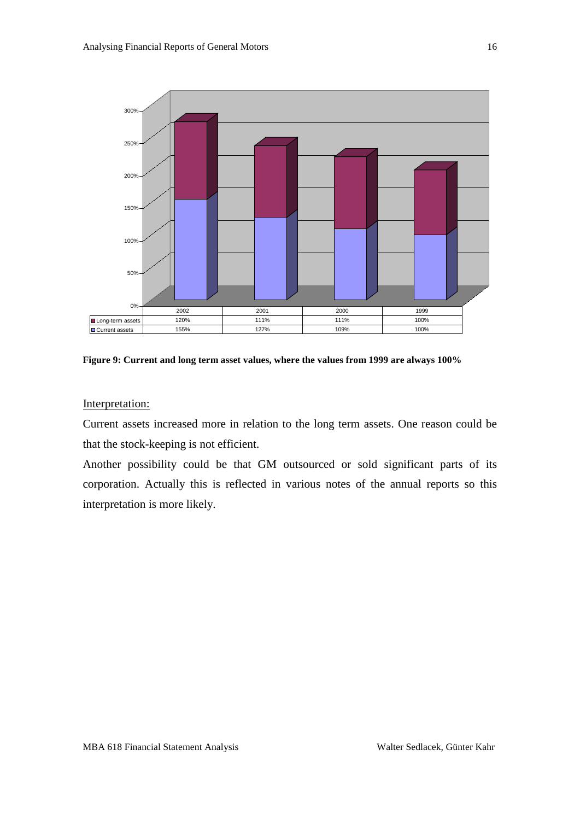

<span id="page-15-0"></span>**Figure 9: Current and long term asset values, where the values from 1999 are always 100%**

Interpretation:

Current assets increased more in relation to the long term assets. One reason could be that the stock-keeping is not efficient.

Another possibility could be that GM outsourced or sold significant parts of its corporation. Actually this is reflected in various notes of the annual reports so this interpretation is more likely.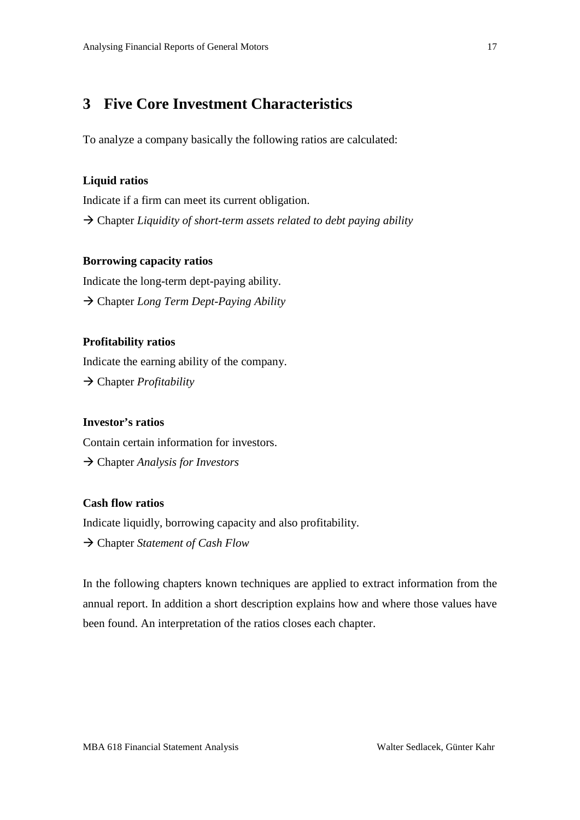# <span id="page-16-0"></span>**3 Five Core Investment Characteristics**

To analyze a company basically the following ratios are calculated:

#### **Liquid ratios**

Indicate if a firm can meet its current obligation. → Chapter *Liquidity of short-term assets related to debt paying ability* 

#### **Borrowing capacity ratios**

Indicate the long-term dept-paying ability. Chapter *Long Term Dept-Paying Ability*

#### **Profitability ratios**

Indicate the earning ability of the company. Chapter *Profitability*

#### **Investor's ratios**

Contain certain information for investors.

Chapter *Analysis for Investors*

#### **Cash flow ratios**

Indicate liquidly, borrowing capacity and also profitability.

Chapter *Statement of Cash Flow*

In the following chapters known techniques are applied to extract information from the annual report. In addition a short description explains how and where those values have been found. An interpretation of the ratios closes each chapter.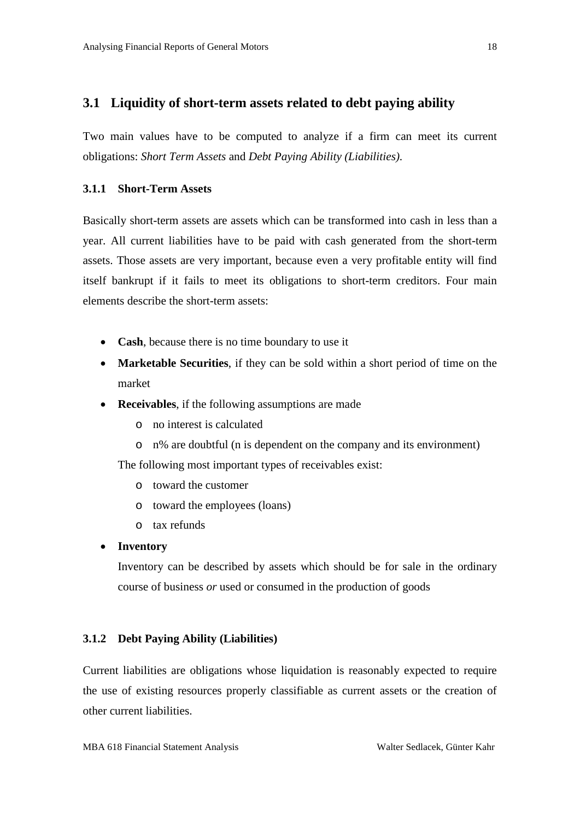#### <span id="page-17-0"></span>**3.1 Liquidity of short-term assets related to debt paying ability**

Two main values have to be computed to analyze if a firm can meet its current obligations: *Short Term Assets* and *Debt Paying Ability (Liabilities)*.

#### <span id="page-17-1"></span>**3.1.1 Short-Term Assets**

Basically short-term assets are assets which can be transformed into cash in less than a year. All current liabilities have to be paid with cash generated from the short-term assets. Those assets are very important, because even a very profitable entity will find itself bankrupt if it fails to meet its obligations to short-term creditors. Four main elements describe the short-term assets:

- **Cash**, because there is no time boundary to use it
- **Marketable Securities**, if they can be sold within a short period of time on the market
- **Receivables**, if the following assumptions are made
	- o no interest is calculated
	- o n% are doubtful (n is dependent on the company and its environment)

The following most important types of receivables exist:

- o toward the customer
- o toward the employees (loans)
- o tax refunds

#### • **Inventory**

Inventory can be described by assets which should be for sale in the ordinary course of business *or* used or consumed in the production of goods

#### <span id="page-17-2"></span>**3.1.2 Debt Paying Ability (Liabilities)**

Current liabilities are obligations whose liquidation is reasonably expected to require the use of existing resources properly classifiable as current assets or the creation of other current liabilities.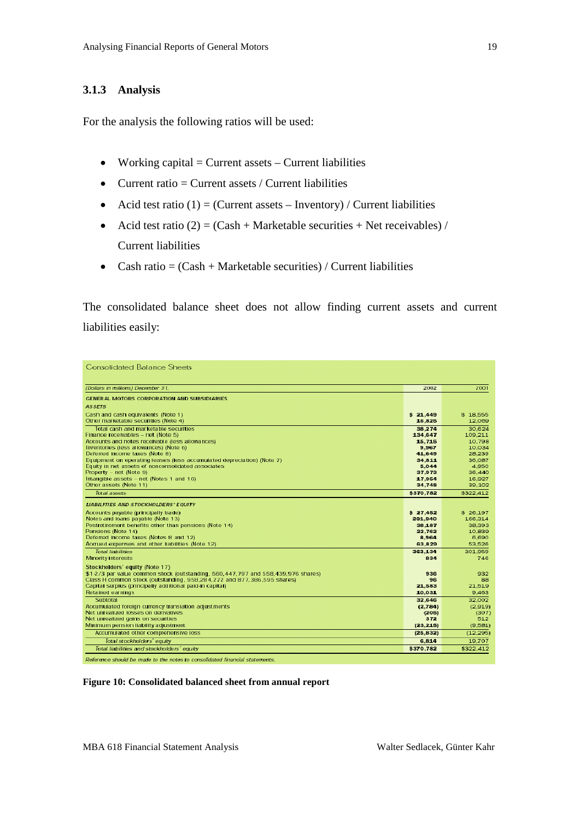#### <span id="page-18-0"></span>**3.1.3 Analysis**

For the analysis the following ratios will be used:

- Working capital  $=$  Current assets  $-$  Current liabilities
- Current ratio  $=$  Current assets / Current liabilities
- Acid test ratio  $(1)$  = (Current assets Inventory) / Current liabilities
- Acid test ratio  $(2) = (Cash + Marketable securities + Net receives) /$ Current liabilities
- Cash ratio  $= (Cash + Marketable securities) / Current liabilities$

The consolidated balance sheet does not allow finding current assets and current liabilities easily:

| <b>Consolidated Balance Sheets</b>                                                                                                                         |                     |                     |
|------------------------------------------------------------------------------------------------------------------------------------------------------------|---------------------|---------------------|
| (Dollars in millions) December 31.                                                                                                                         | 2002                | 2001                |
| GENERAL MOTORS CORPORATION AND SUBSIDIARIES                                                                                                                |                     |                     |
| <b>ASSETS</b>                                                                                                                                              |                     |                     |
| Cash and cash equivalents (Note 1)                                                                                                                         | \$21,449            | \$18.555            |
| Other marketable securities (Note 4)                                                                                                                       | 16,825              | 12.069              |
| Total cash and marketable securities                                                                                                                       | 38,274              | 30.624              |
| Finance receivables - net (Note 5)<br>Accounts and notes receivable (less allowances)                                                                      | 134.647<br>15,715   | 109.211<br>10.798   |
| Inventories (less allowances) (Note 6)                                                                                                                     | 9.967               | 10.034              |
| Deferred Income taxes (Note 8)                                                                                                                             | 41.649              | 28.239              |
| Equipment on operating leases (less accumulated depreciation) (Note 7)                                                                                     | 34,811              | 36,087              |
| Equity in net assets of nonconsolidated associates                                                                                                         | 5.044               | 4.950               |
| Property - net (Note 9)<br>Intangible assets - net (Notes 1 and 10)                                                                                        | 37.973<br>17.954    | 36,440<br>16,927    |
| Other assets (Note 11)                                                                                                                                     | 34.748              | 39.102              |
| Total assets                                                                                                                                               | \$370.782           | \$322,412           |
| <b>LIABILITIES AND STOCKHOLDERS' EQUITY</b>                                                                                                                |                     |                     |
|                                                                                                                                                            |                     |                     |
| Accounts payable (principally trade)<br>Notes and loans payable (Note 13)                                                                                  | \$27.452<br>201,940 | \$26.197<br>166,314 |
| Postretirement benefits other than pensions (Note 14)                                                                                                      | 38.187              | 38.393              |
| Pensions (Note 14)                                                                                                                                         | 22.762              | 10.839              |
| Deferred Income taxes (Notes 8 and 12)                                                                                                                     | 8,964               | 6,690               |
| Accrued expenses and other liabilities (Note 12)                                                                                                           | 63.829              | 53.526              |
| Total liabilities                                                                                                                                          | 363.134             | 301,959             |
| <b>Minority Interests</b>                                                                                                                                  | 834                 | 746                 |
| Stockholders' equity (Note 17)                                                                                                                             |                     |                     |
| \$1-2/3 par value common stock (outstanding, 560,447,797 and 558,439,976 shares)<br>Class H common stock (outstanding, 958,284,272 and 877,386,595 shares) | 936<br>96           | 932<br>88           |
| Capital surplus (principally additional paid-in capital)                                                                                                   | 21.583              | 21,519              |
| Retained earnings                                                                                                                                          | 10.031              | 9.463               |
| Subtotal                                                                                                                                                   | 32,646              | 32,002              |
| Accumulated foreign currency translation adjustments                                                                                                       | (2,784)             | (2.919)             |
| Net unrealized losses on derivatives                                                                                                                       | (205)               | (307)               |
| Net unrealized gains on securities<br>Minimum pension liability adjustment                                                                                 | 372<br>(23, 215)    | 512<br>(9.581)      |
| Accumulated other comprehensive loss                                                                                                                       | (25, 832)           | (12.295)            |
| Total stockholders' equity                                                                                                                                 | 6.814               | 19.707              |
| Total liabilities and stockholders' equity                                                                                                                 | \$370.782           | \$322,412           |
|                                                                                                                                                            |                     |                     |

Reference should be made to the notes to consolidated financial statements.

<span id="page-18-1"></span>**Figure 10: Consolidated balanced sheet from annual report**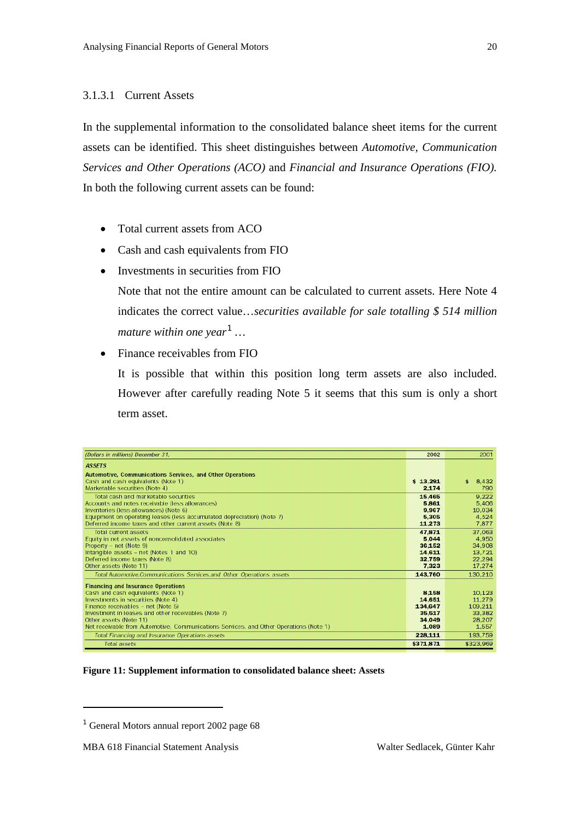#### <span id="page-19-0"></span>3.1.3.1 Current Assets

In the supplemental information to the consolidated balance sheet items for the current assets can be identified. This sheet distinguishes between *Automotive, Communication Services and Other Operations (ACO)* and *Financial and Insurance Operations (FIO).* In both the following current assets can be found:

- Total current assets from ACO
- Cash and cash equivalents from FIO
- Investments in securities from FIO

Note that not the entire amount can be calculated to current assets. Here Note 4 indicates the correct value…*securities available for sale totalling \$ 514 million mature within one year[1](#page-19-2) …*

• Finance receivables from FIO

It is possible that within this position long term assets are also included. However after carefully reading Note 5 it seems that this sum is only a short term asset.

| (Dollars in millions) December 31,                                                     | 2002      | 2001        |
|----------------------------------------------------------------------------------------|-----------|-------------|
| <b>ASSETS</b>                                                                          |           |             |
| Automotive, Communications Services, and Other Operations                              |           |             |
| Cash and cash equivalents (Note 1)                                                     | \$13.291  | \$<br>8,432 |
| Marketable securities (Note 4)                                                         | 2.174     | 790         |
| Total cash and marketable securities.                                                  | 15,465    | 9.222       |
| Accounts and notes receivable (less allowances)                                        | 5.861     | 5.406       |
| Inventories (less allowances) (Note 6)                                                 | 9.967     | 10.034      |
| Equipment on operating leases (less accumulated depreciation) (Note 7)                 | 5.305     | 4.524       |
| Deferred income taxes and other current assets (Note 8)                                | 11.273    | 7,877       |
| Total current assets                                                                   | 47.871    | 37.063      |
| Equity in net assets of nonconsolidated associates                                     | 5.044     | 4.950       |
| Property - net (Note 9)                                                                | 36.152    | 34.908      |
| Intangible assets - net (Notes 1 and 10)                                               | 14.611    | 13.721      |
| Deferred income taxes (Note 8)                                                         | 32.759    | 22,294      |
| Other assets (Note 11)                                                                 | 7323      | 17,274      |
| Total Automotive, Communications Services, and Other Operations assets                 | 143,760   | 130,210     |
| <b>Financing and Insurance Operations</b>                                              |           |             |
| Cash and cash equivalents (Note 1)                                                     | 8.158     | 10.123      |
| Investments in securities (Note 4)                                                     | 14.651    | 11.279      |
| Finance receivables - net (Note 5)                                                     | 134,647   | 109.211     |
| Investment in leases and other receivables (Note 7)                                    | 35,517    | 33,382      |
| Other assets (Note 11)                                                                 | 34.049    | 28.207      |
| Net receivable from Automotive, Communications Services, and Other Operations (Note 1) | 1.089     | 1.557       |
| Total Financing and Insurance Operations assets                                        | 228,111   | 193,759     |
| Total assets                                                                           | \$371.871 | \$323,969   |

<span id="page-19-1"></span>**Figure 11: Supplement information to consolidated balance sheet: Assets**

<u>.</u>

<span id="page-19-2"></span><sup>&</sup>lt;sup>1</sup> General Motors annual report 2002 page 68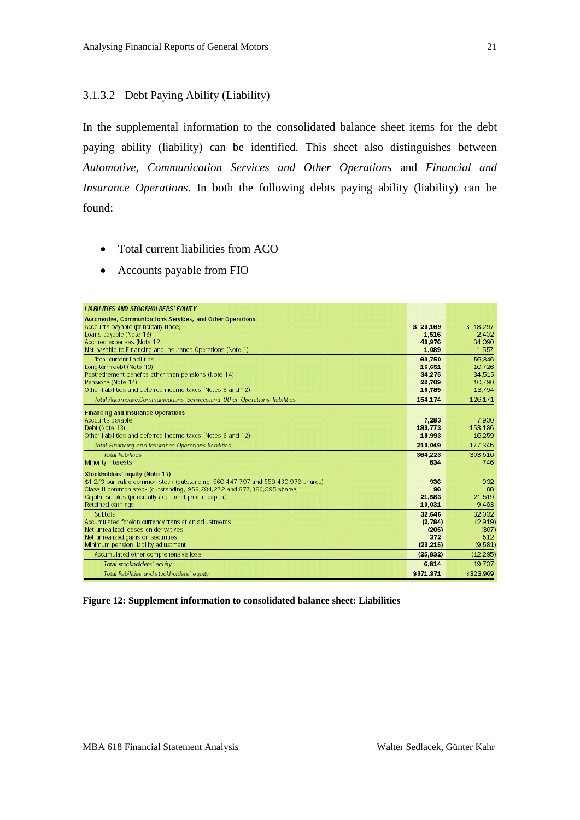#### <span id="page-20-0"></span>3.1.3.2 Debt Paying Ability (Liability)

In the supplemental information to the consolidated balance sheet items for the debt paying ability (liability) can be identified. This sheet also distinguishes between *Automotive, Communication Services and Other Operations* and *Financial and Insurance Operations.* In both the following debts paying ability (liability) can be found:

- Total current liabilities from ACO
- Accounts payable from FIO

| <b>LIABILITIES AND STOCKHOLDERS' EQUITY</b>                                      |           |           |
|----------------------------------------------------------------------------------|-----------|-----------|
| Automotive, Communications Services, and Other Operations                        |           |           |
| Accounts payable (principally trade)                                             | \$20,169  | \$18.297  |
| Loans payable (Note 13)                                                          | 1.516     | 2.402     |
| Accrued expenses (Note 12)                                                       | 40.976    | 34.090    |
| Net payable to Financing and Insurance Operations (Note 1)                       | 1.089     | 1,557     |
| <b>Total current liabilities</b>                                                 | 63,750    | 56,346    |
| Long-term debt (Note 13)                                                         | 16,651    | 10,726    |
| Postretirement benefits other than pensions (Note 14)                            | 34.275    | 34,515    |
| Pensions (Note 14)                                                               | 22.709    | 10,790    |
| Other liabilities and deferred income taxes (Notes 8 and 12)                     | 16.789    | 13.794    |
| Total Automotive, Communications Services, and Other Operations liabilities      | 154,174   | 126,171   |
| <b>Financing and Insurance Operations</b>                                        |           |           |
| Accounts payable                                                                 | 7.283     | 7.900     |
| Debt (Note 13)                                                                   | 183,773   | 153,186   |
| Other liabilities and deferred income taxes (Notes 8 and 12)                     | 18.993    | 16,259    |
| Total Financing and Insurance Operations liabilities                             | 210,049   | 177,345   |
| <b>Total liabilities</b>                                                         | 364.223   | 303,516   |
| <b>Minority interests</b>                                                        | 834       | 746       |
| Stockholders' equity (Note 17)                                                   |           |           |
| \$1-2/3 par value common stock (outstanding, 560,447,797 and 558,439,976 shares) | 936       | 932       |
| Class H common stock (outstanding, 958,284,272 and 877,386,595 shares)           | 96        | 88        |
| Capital surplus (principally additional paid-in capital)                         | 21,583    | 21,519    |
| Retained earnings                                                                | 10,031    | 9,463     |
| Subtotal                                                                         | 32,646    | 32,002    |
| Accumulated foreign currency translation adjustments                             | (2.784)   | (2.919)   |
| Net unrealized losses on derivatives                                             | (205)     | (307)     |
| Net unrealized gains on securities                                               | 372       | 512       |
| Minimum pension liability adjustment                                             | (23, 215) | (9,581)   |
| Accumulated other comprehensive loss                                             | (25, 832) | (12, 295) |
| Total stockholders' equity                                                       | 6.814     | 19,707    |
| Total liabilities and stockholders' equity                                       | \$371,871 | \$323,969 |

<span id="page-20-1"></span>**Figure 12: Supplement information to consolidated balance sheet: Liabilities**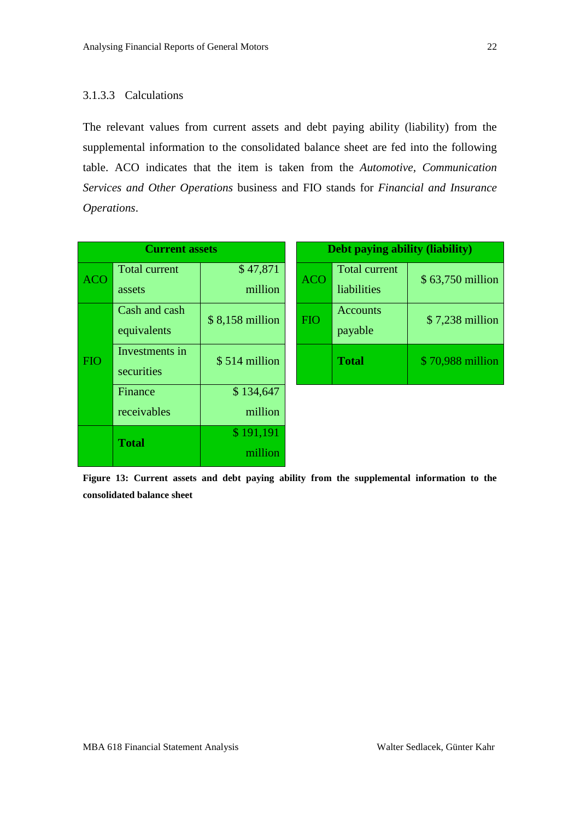#### <span id="page-21-0"></span>3.1.3.3 Calculations

The relevant values from current assets and debt paying ability (liability) from the supplemental information to the consolidated balance sheet are fed into the following table. ACO indicates that the item is taken from the *Automotive, Communication Services and Other Operations* business and FIO stands for *Financial and Insurance Operations*.

| <b>Current assets</b> |                      |                 | Debt paying ability (liability) |                      |                  |  |
|-----------------------|----------------------|-----------------|---------------------------------|----------------------|------------------|--|
| <b>ACO</b>            | <b>Total current</b> | \$47,871        | <b>ACO</b>                      | <b>Total current</b> | \$63,750 million |  |
|                       | assets               | million         |                                 | liabilities          |                  |  |
|                       | Cash and cash        | \$8,158 million | <b>FIO</b>                      | <b>Accounts</b>      | \$7,238 million  |  |
|                       | equivalents          |                 |                                 | payable              |                  |  |
| <b>FIO</b>            | Investments in       | \$514 million   |                                 | <b>Total</b>         | \$70,988 million |  |
|                       | securities           |                 |                                 |                      |                  |  |
|                       | Finance              | \$134,647       |                                 |                      |                  |  |
|                       | receivables          | million         |                                 |                      |                  |  |
|                       | <b>Total</b>         | \$191,191       |                                 |                      |                  |  |
|                       |                      | million         |                                 |                      |                  |  |

<span id="page-21-1"></span>**Figure 13: Current assets and debt paying ability from the supplemental information to the consolidated balance sheet**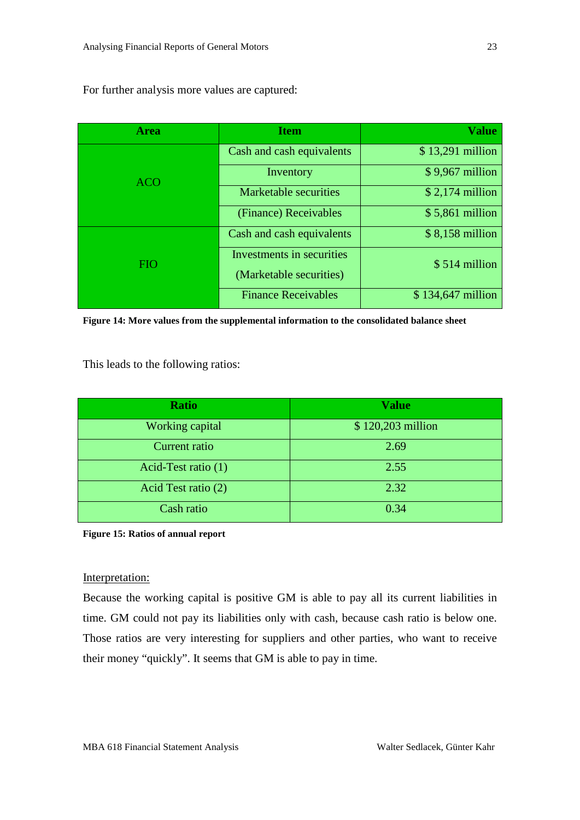For further analysis more values are captured:

| <b>Area</b> | <b>Item</b>                  | <b>Value</b>       |
|-------------|------------------------------|--------------------|
|             | Cash and cash equivalents    | \$13,291 million   |
| <b>ACO</b>  | Inventory                    | $$9,967$ million   |
|             | <b>Marketable securities</b> | $$2,174$ million   |
|             | (Finance) Receivables        | $$5,861$ million   |
|             | Cash and cash equivalents    | $$8,158$ million   |
| <b>FIO</b>  | Investments in securities    | \$514 million      |
|             | (Marketable securities)      |                    |
|             | <b>Finance Receivables</b>   | $$134,647$ million |

<span id="page-22-0"></span>**Figure 14: More values from the supplemental information to the consolidated balance sheet**

This leads to the following ratios:

| <b>Ratio</b>        | <b>Value</b>      |
|---------------------|-------------------|
| Working capital     | \$120,203 million |
| Current ratio       | 2.69              |
| Acid-Test ratio (1) | 2.55              |
| Acid Test ratio (2) | 2.32              |
| Cash ratio          | 0.34              |

<span id="page-22-1"></span>**Figure 15: Ratios of annual report**

#### Interpretation:

Because the working capital is positive GM is able to pay all its current liabilities in time. GM could not pay its liabilities only with cash, because cash ratio is below one. Those ratios are very interesting for suppliers and other parties, who want to receive their money "quickly". It seems that GM is able to pay in time.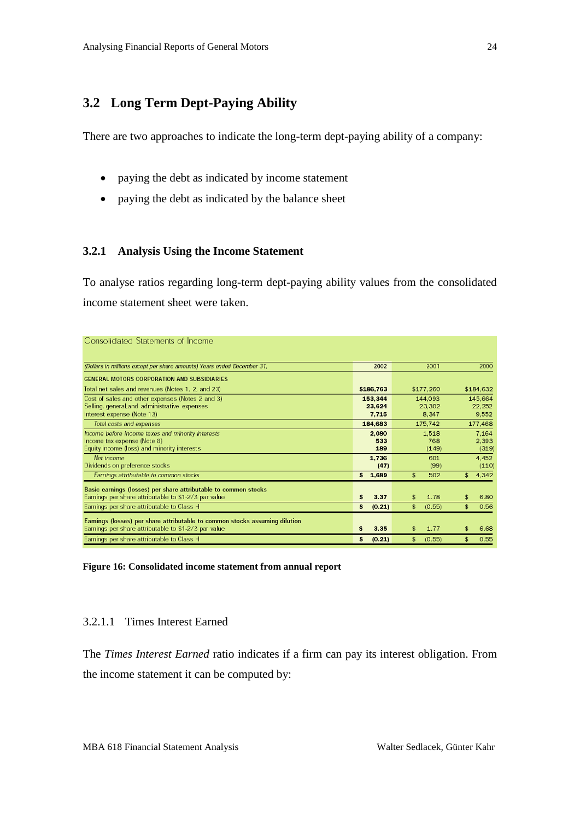# <span id="page-23-0"></span>**3.2 Long Term Dept-Paying Ability**

There are two approaches to indicate the long-term dept-paying ability of a company:

- paying the debt as indicated by income statement
- paying the debt as indicated by the balance sheet

#### <span id="page-23-1"></span>**3.2.1 Analysis Using the Income Statement**

To analyse ratios regarding long-term dept-paying ability values from the consolidated income statement sheet were taken.

| Consolidated Statements of Income                                          |    |           |    |           |             |
|----------------------------------------------------------------------------|----|-----------|----|-----------|-------------|
| (Dollars in millions except per share amounts) Years ended December 31,    |    | 2002      |    | 2001      | 2000        |
| GENERAL MOTORS CORPORATION AND SUBSIDIARIES                                |    |           |    |           |             |
| Total net sales and revenues (Notes 1, 2, and 23)                          |    | \$186,763 |    | \$177,260 | \$184,632   |
| Cost of sales and other expenses (Notes 2 and 3)                           |    | 153,344   |    | 144,093   | 145,664     |
| Selling, general, and administrative expenses                              |    | 23.624    |    | 23,302    | 22.252      |
| Interest expense (Note 13)                                                 |    | 7.715     |    | 8.347     | 9.552       |
| Total costs and expenses                                                   |    | 184,683   |    | 175,742   | 177,468     |
| Income before income taxes and minority interests                          |    | 2.080     |    | 1,518     | 7.164       |
| Income tax expense (Note 8)                                                |    | 533       |    | 768       | 2,393       |
| Equity income (loss) and minority interests                                |    | 189       |    | (149)     | (319)       |
| Net income                                                                 |    | 1.736     |    | 601       | 4.452       |
| Dividends on preference stocks                                             |    | (47)      |    | (99)      | (110)       |
| Earnings attributable to common stocks                                     |    | 5 1.689   | \$ | 502       | \$<br>4,342 |
| Basic earnings (losses) per share attributable to common stocks            |    |           |    |           |             |
| Earnings per share attributable to \$1-2/3 par value                       | \$ | 3.37      | \$ | 1.78      | \$<br>6.80  |
| Earnings per share attributable to Class H                                 | s  | (0.21)    | \$ | (0.55)    | \$<br>0.56  |
| Eamings (losses) per share attributable to common stocks assuming dilution |    |           |    |           |             |
| Earnings per share attributable to \$1-2/3 par value                       | s  | 3.35      | \$ | 1.77      | 6.68        |
| Earnings per share attributable to Class H                                 | \$ | (0.21)    | s. | (0.55)    | \$<br>0.55  |

<span id="page-23-3"></span>**Figure 16: Consolidated income statement from annual report**

#### <span id="page-23-2"></span>3.2.1.1 Times Interest Earned

The *Times Interest Earned* ratio indicates if a firm can pay its interest obligation. From the income statement it can be computed by: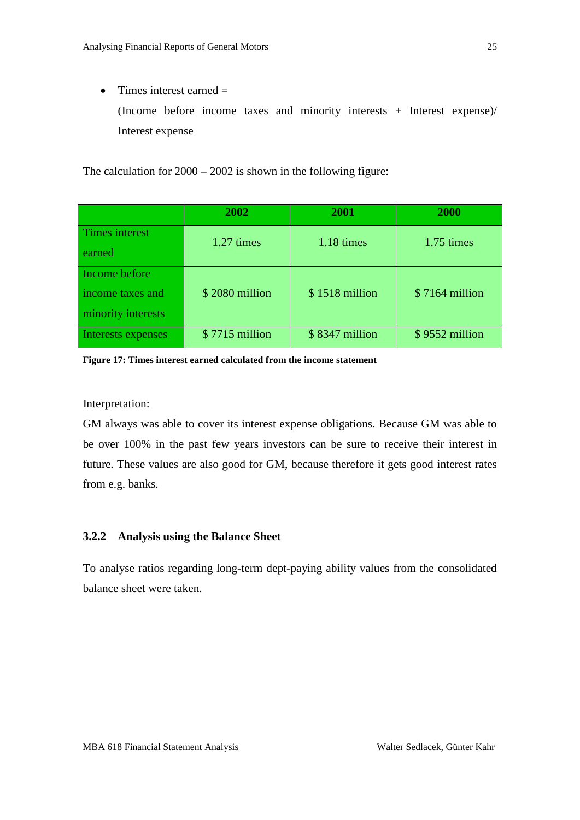• Times interest earned  $=$ 

(Income before income taxes and minority interests + Interest expense)/ Interest expense

The calculation for 2000 – 2002 is shown in the following figure:

|                                                         | 2002            | 2001           | 2000            |
|---------------------------------------------------------|-----------------|----------------|-----------------|
| Times interest<br>earned                                | 1.27 times      | 1.18 times     | 1.75 times      |
| Income before<br>income taxes and<br>minority interests | \$2080 million  | \$1518 million | $$7164$ million |
| Interests expenses                                      | $$7715$ million | \$8347 million | \$9552 million  |

<span id="page-24-1"></span>**Figure 17: Times interest earned calculated from the income statement**

#### Interpretation:

GM always was able to cover its interest expense obligations. Because GM was able to be over 100% in the past few years investors can be sure to receive their interest in future. These values are also good for GM, because therefore it gets good interest rates from e.g. banks.

#### <span id="page-24-0"></span>**3.2.2 Analysis using the Balance Sheet**

To analyse ratios regarding long-term dept-paying ability values from the consolidated balance sheet were taken.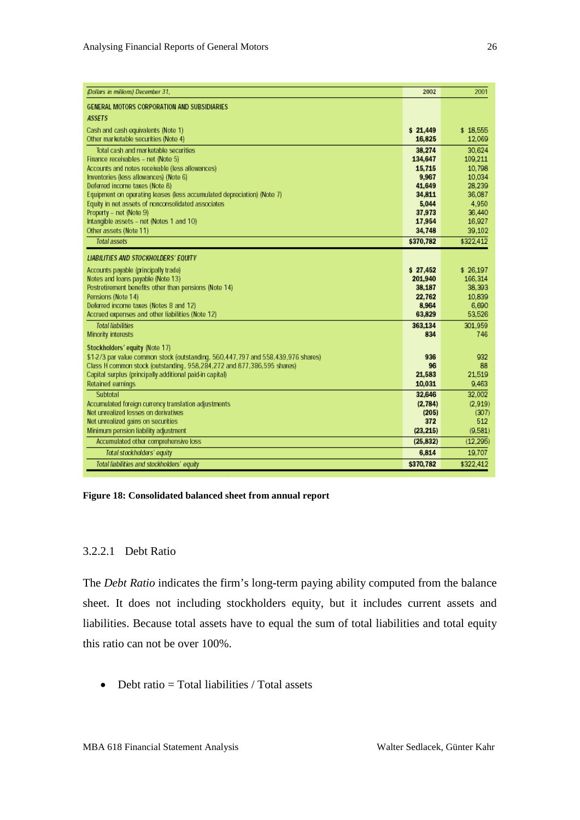| (Dollars in millions) December 31,                                                         | 2002              | 2001              |
|--------------------------------------------------------------------------------------------|-------------------|-------------------|
| GENERAL MOTORS CORPORATION AND SUBSIDIARIES                                                |                   |                   |
| <b>ASSETS</b>                                                                              |                   |                   |
| Cash and cash equivalents (Note 1)                                                         | \$21.449          | \$18,555          |
| Other marketable securities (Note 4)                                                       | 16,825            | 12,069            |
| Total cash and marketable securities                                                       | 38,274            | 30.624            |
| Finance receivables - net (Note 5)                                                         | 134,647           | 109.211           |
| Accounts and notes receivable (less allowances)                                            | 15,715            | 10.798            |
| Inventories (less allowances) (Note 6)                                                     | 9,967             | 10.034            |
| Deferred income taxes (Note 8)                                                             | 41,649            | 28,239            |
| Equipment on operating leases (less accumulated depreciation) (Note 7)                     | 34,811<br>5.044   | 36,087<br>4.950   |
| Equity in net assets of nonconsolidated associates<br>Property - net (Note 9)              | 37,973            | 36,440            |
| Intangible assets - net (Notes 1 and 10)                                                   | 17,954            | 16.927            |
| Other assets (Note 11)                                                                     | 34,748            | 39.102            |
| <b>Total assets</b>                                                                        | \$370,782         | \$322,412         |
| <b>LIABILITIES AND STOCKHOLDERS' EQUITY</b>                                                |                   |                   |
|                                                                                            |                   |                   |
| Accounts payable (principally trade)                                                       | \$27,452          | \$26,197          |
| Notes and loans payable (Note 13)<br>Postretirement benefits other than pensions (Note 14) | 201.940<br>38,187 | 166,314<br>38,393 |
| Pensions (Note 14)                                                                         | 22,762            | 10.839            |
| Deferred income taxes (Notes 8 and 12)                                                     | 8,964             | 6,690             |
| Accrued expenses and other liabilities (Note 12)                                           | 63.829            | 53,526            |
| <b>Total liabilities</b>                                                                   | 363,134           | 301.959           |
| Minority interests                                                                         | 834               | 746               |
| Stockholders' equity (Note 17)                                                             |                   |                   |
| \$1-2/3 par value common stock (outstanding, 560,447,797 and 558,439,976 shares)           | 936               | 932               |
| Class H common stock (outstanding, 958,284,272 and 877,386,595 shares).                    | 96                | 88                |
| Capital surplus (principally additional paid-in capital)                                   | 21,583            | 21,519            |
| Retained earnings                                                                          | 10,031            | 9,463             |
| Subtotal                                                                                   | 32,646            | 32,002            |
| Accumulated foreign currency translation adjustments                                       | (2,784)           | (2.919)           |
| Net unrealized losses on derivatives                                                       | (205)             | (307)             |
| Net unrealized gains on securities                                                         | 372               | 512               |
| Minimum pension liability adjustment                                                       | (23, 215)         | (9.581)           |
| Accumulated other comprehensive loss                                                       | (25, 832)         | (12, 295)         |
| Total stockholders' equity                                                                 | 6.814             | 19.707            |
| Total liabilities and stockholders' equity                                                 | \$370,782         | \$322.412         |

<span id="page-25-1"></span>**Figure 18: Consolidated balanced sheet from annual report**

### <span id="page-25-0"></span>3.2.2.1 Debt Ratio

The *Debt Ratio* indicates the firm's long-term paying ability computed from the balance sheet. It does not including stockholders equity, but it includes current assets and liabilities. Because total assets have to equal the sum of total liabilities and total equity this ratio can not be over 100%.

• Debt ratio  $=$  Total liabilities / Total assets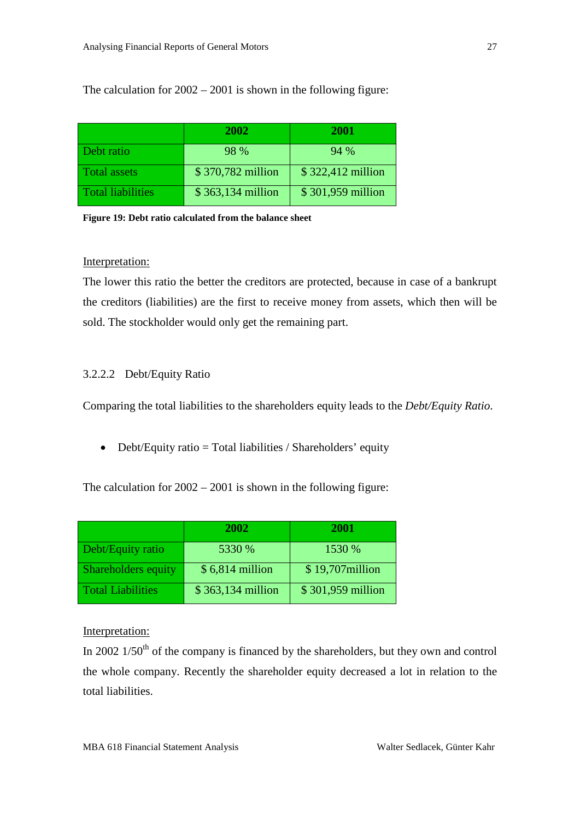The calculation for 2002 – 2001 is shown in the following figure:

|                          | 2002              | <b>2001</b>        |
|--------------------------|-------------------|--------------------|
| Debt ratio               | 98 %              | 94 %               |
| <b>Total assets</b>      | \$370,782 million | $$322,412$ million |
| <b>Total liabilities</b> | \$363,134 million | \$301,959 million  |

<span id="page-26-1"></span>**Figure 19: Debt ratio calculated from the balance sheet**

#### Interpretation:

The lower this ratio the better the creditors are protected, because in case of a bankrupt the creditors (liabilities) are the first to receive money from assets, which then will be sold. The stockholder would only get the remaining part.

### <span id="page-26-0"></span>3.2.2.2 Debt/Equity Ratio

Comparing the total liabilities to the shareholders equity leads to the *Debt/Equity Ratio*.

• Debt/Equity ratio = Total liabilities / Shareholders' equity

The calculation for 2002 – 2001 is shown in the following figure:

|                            | 2002              | 2001              |
|----------------------------|-------------------|-------------------|
| <b>Debt/Equity ratio</b>   | 5330 %            | 1530 %            |
| <b>Shareholders equity</b> | $$6,814$ million  | $$19,707$ million |
| Total Liabilities          | \$363,134 million | \$301,959 million |

#### Interpretation:

In 2002  $1/50<sup>th</sup>$  of the company is financed by the shareholders, but they own and control the whole company. Recently the shareholder equity decreased a lot in relation to the total liabilities.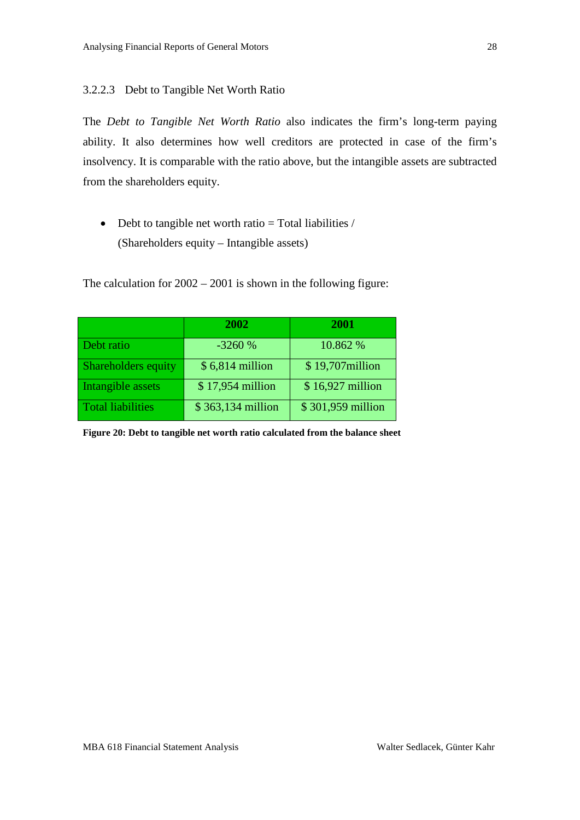#### <span id="page-27-0"></span>3.2.2.3 Debt to Tangible Net Worth Ratio

The *Debt to Tangible Net Worth Ratio* also indicates the firm's long-term paying ability. It also determines how well creditors are protected in case of the firm's insolvency. It is comparable with the ratio above, but the intangible assets are subtracted from the shareholders equity.

• Debt to tangible net worth ratio  $=$  Total liabilities  $/$ (Shareholders equity – Intangible assets)

The calculation for 2002 – 2001 is shown in the following figure:

|                            | 2002              | 2001              |
|----------------------------|-------------------|-------------------|
| Debt ratio                 | $-3260%$          | 10.862 %          |
| <b>Shareholders equity</b> | $$6,814$ million  | \$19,707 million  |
| Intangible assets          | \$17,954 million  | \$16,927 million  |
| <b>Total liabilities</b>   | \$363,134 million | \$301,959 million |

<span id="page-27-1"></span>**Figure 20: Debt to tangible net worth ratio calculated from the balance sheet**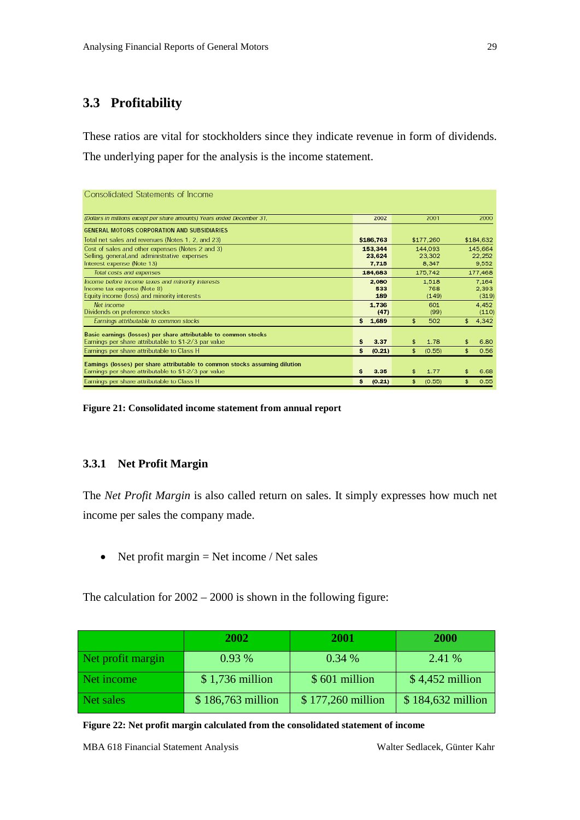# <span id="page-28-0"></span>**3.3 Profitability**

These ratios are vital for stockholders since they indicate revenue in form of dividends. The underlying paper for the analysis is the income statement.

| Consolidated Statements of Income                                          |              |              |                      |
|----------------------------------------------------------------------------|--------------|--------------|----------------------|
| (Dollars in millions except per share amounts) Years ended December 31,    | 2002         | 2001         | 2000                 |
| <b>GENERAL MOTORS CORPORATION AND SUBSIDIARIES</b>                         |              |              |                      |
| Total net sales and revenues (Notes 1, 2, and 23)                          | \$186,763    | \$177,260    | \$184,632            |
| Cost of sales and other expenses (Notes 2 and 3)                           | 153,344      | 144,093      | 145.664              |
| Selling, general, and administrative expenses                              | 23.624       | 23,302       | 22,252               |
| Interest expense (Note 13)                                                 | 7.715        | 8.347        | 9,552                |
| Total costs and expenses                                                   | 184,683      | 175,742      | 177,468              |
| Income before income taxes and minority interests                          | 2.080        | 1,518        | 7.164                |
| Income tax expense (Note 8)                                                | 533          | 768          | 2,393                |
| Equity income (loss) and minority interests                                | 189          | (149)        | (319)                |
| Net income                                                                 | 1,736        | 601          | 4.452                |
| Dividends on preference stocks                                             | (47)         | (99)         | (110)                |
| Earnings attributable to common stocks                                     | 5 1,689      | 502<br>\$    | 4,342<br>\$.         |
| Basic earnings (losses) per share attributable to common stocks            |              |              |                      |
| Earnings per share attributable to \$1-2/3 par value                       | s<br>3.37    | 1.78         | 6.80                 |
| Earnings per share attributable to Class H                                 | s<br>(0.21)  | \$<br>(0.55) | 0.56<br>\$           |
| Eamings (losses) per share attributable to common stocks assuming dilution |              |              |                      |
| Earnings per share attributable to \$1-2/3 par value                       | 3.35<br>s    | 1.77<br>\$   | 6.68<br>\$           |
| Earnings per share attributable to Class H                                 | s.<br>(0.21) | (0.55)<br>s. | 0.55<br>$\mathbf{f}$ |

<span id="page-28-2"></span>**Figure 21: Consolidated income statement from annual report**

### <span id="page-28-1"></span>**3.3.1 Net Profit Margin**

The *Net Profit Margin* is also called return on sales. It simply expresses how much net income per sales the company made.

• Net profit margin  $=$  Net income / Net sales

The calculation for 2002 – 2000 is shown in the following figure:

|                   | 2002              | 2001              | 2000              |
|-------------------|-------------------|-------------------|-------------------|
| Net profit margin | 0.93%             | 0.34%             | 2.41 %            |
| Net income        | $$1,736$ million  | \$601 million     | $$4,452$ million  |
| Net sales         | \$186,763 million | \$177,260 million | \$184,632 million |

<span id="page-28-3"></span>**Figure 22: Net profit margin calculated from the consolidated statement of income**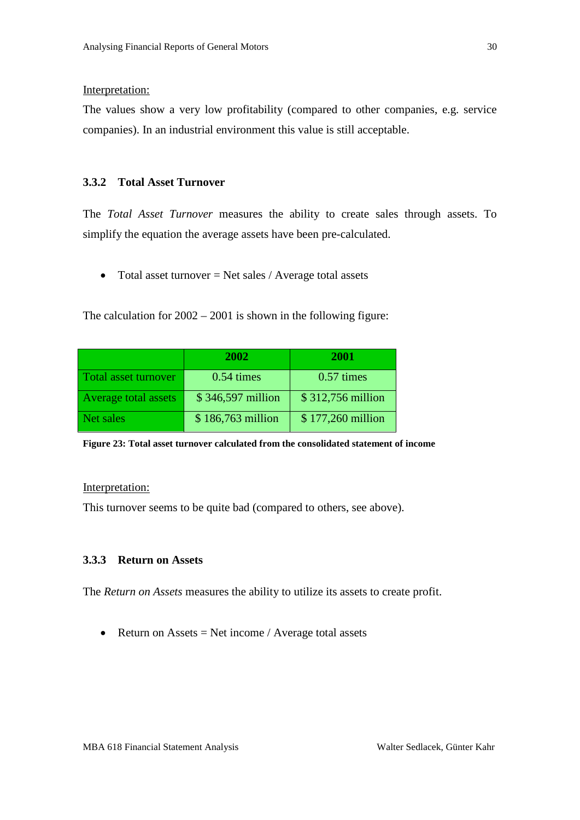#### Interpretation:

The values show a very low profitability (compared to other companies, e.g. service companies). In an industrial environment this value is still acceptable.

#### <span id="page-29-0"></span>**3.3.2 Total Asset Turnover**

The *Total Asset Turnover* measures the ability to create sales through assets. To simplify the equation the average assets have been pre-calculated.

• Total asset turnover  $=$  Net sales / Average total assets

The calculation for 2002 – 2001 is shown in the following figure:

|                      | 2002              | 2001                 |
|----------------------|-------------------|----------------------|
| Total asset turnover | $0.54 \times$     | $0.57 \text{ times}$ |
| Average total assets | \$346,597 million | $$312,756$ million   |
| Net sales            | \$186,763 million | \$177,260 million    |

<span id="page-29-2"></span>**Figure 23: Total asset turnover calculated from the consolidated statement of income**

#### Interpretation:

This turnover seems to be quite bad (compared to others, see above).

#### <span id="page-29-1"></span>**3.3.3 Return on Assets**

The *Return on Assets* measures the ability to utilize its assets to create profit.

• Return on Assets = Net income / Average total assets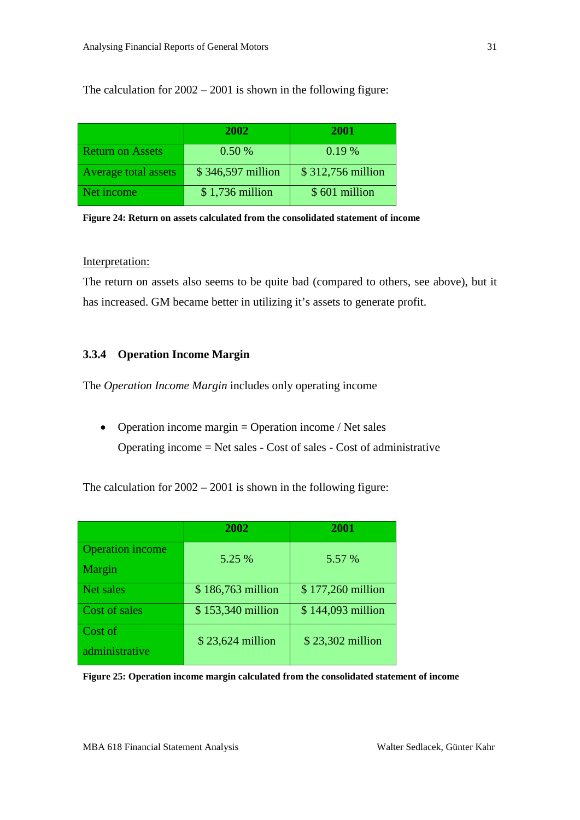The calculation for 2002 – 2001 is shown in the following figure:

|                             | <b>2002</b>       | <b>2001</b>       |
|-----------------------------|-------------------|-------------------|
| <b>Return on Assets</b>     | 0.50%             | 0.19%             |
| <b>Average total assets</b> | \$346,597 million | \$312,756 million |
| Net income                  | $$1,736$ million  | \$601 million     |

<span id="page-30-1"></span>

| Figure 24: Return on assets calculated from the consolidated statement of income |  |
|----------------------------------------------------------------------------------|--|
|----------------------------------------------------------------------------------|--|

#### Interpretation:

The return on assets also seems to be quite bad (compared to others, see above), but it has increased. GM became better in utilizing it's assets to generate profit.

### <span id="page-30-0"></span>**3.3.4 Operation Income Margin**

The *Operation Income Margin* includes only operating income

• Operation income margin = Operation income / Net sales Operating income = Net sales - Cost of sales - Cost of administrative

The calculation for 2002 – 2001 is shown in the following figure:

|                                   | 2002              | 2001              |
|-----------------------------------|-------------------|-------------------|
| <b>Operation</b> income<br>Margin | 5.25 %            | 5.57 %            |
| Net sales                         | \$186,763 million | \$177,260 million |
| Cost of sales                     | \$153,340 million | \$144,093 million |
| Cost of<br>administrative         | \$23,624 million  | \$23,302 million  |

<span id="page-30-2"></span>**Figure 25: Operation income margin calculated from the consolidated statement of income**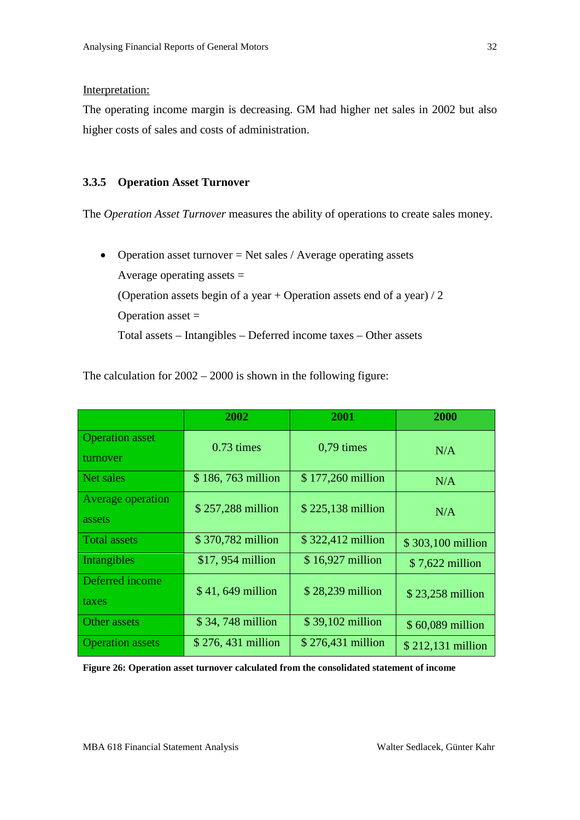#### Interpretation:

The operating income margin is decreasing. GM had higher net sales in 2002 but also higher costs of sales and costs of administration.

#### <span id="page-31-0"></span>**3.3.5 Operation Asset Turnover**

The *Operation Asset Turnover* measures the ability of operations to create sales money.

• Operation asset turnover = Net sales / Average operating assets Average operating assets  $=$ (Operation assets begin of a year + Operation assets end of a year) / 2 Operation asset  $=$ Total assets – Intangibles – Deferred income taxes – Other assets

The calculation for 2002 – 2000 is shown in the following figure:

|                                    | 2002                | 2001              | 2000              |
|------------------------------------|---------------------|-------------------|-------------------|
| <b>Operation</b> asset<br>turnover | $0.73 \times$       | $0,79$ times      | N/A               |
| Net sales                          | \$186,763 million   | \$177,260 million | N/A               |
| Average operation<br>assets        | \$257,288 million   | \$225,138 million | N/A               |
| <b>Total assets</b>                | \$370,782 million   | \$322,412 million | \$303,100 million |
| Intangibles                        | \$17, 954 million   | \$16,927 million  | \$7,622 million   |
| Deferred income<br>taxes           | \$41,649 million    | \$28,239 million  | \$23,258 million  |
| Other assets                       | \$34,748 million    | \$39,102 million  | \$60,089 million  |
| <b>Operation</b> assets            | $$276, 431$ million | \$276,431 million | \$212,131 million |

<span id="page-31-1"></span>**Figure 26: Operation asset turnover calculated from the consolidated statement of income**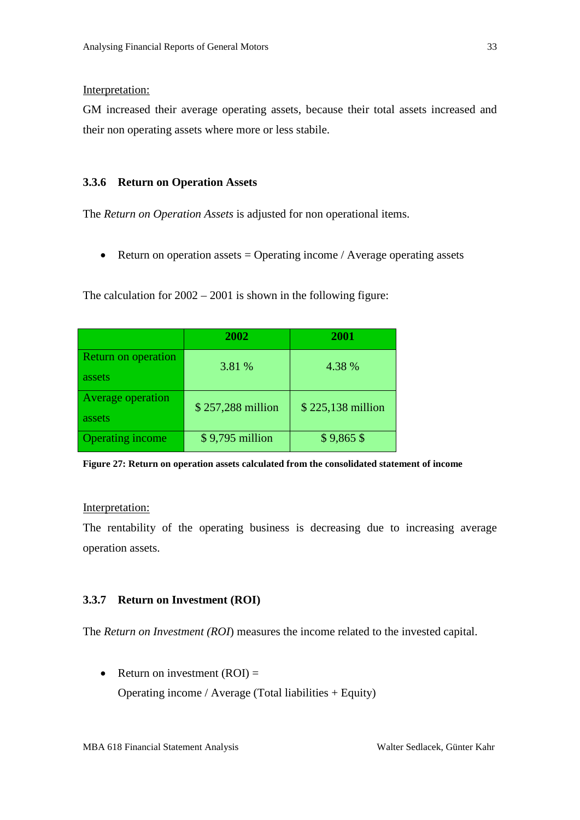#### Interpretation:

GM increased their average operating assets, because their total assets increased and their non operating assets where more or less stabile.

#### <span id="page-32-0"></span>**3.3.6 Return on Operation Assets**

The *Return on Operation Assets* is adjusted for non operational items.

• Return on operation assets  $=$  Operating income / Average operating assets

The calculation for 2002 – 2001 is shown in the following figure:

|                                      | 2002              | 2001              |
|--------------------------------------|-------------------|-------------------|
| <b>Return on operation</b><br>assets | 3.81 %            | 4.38 %            |
| <b>Average operation</b><br>assets   | \$257,288 million | \$225,138 million |
| <b>Operating income</b>              | \$9,795 million   | $$9,865$ \$       |

<span id="page-32-2"></span>**Figure 27: Return on operation assets calculated from the consolidated statement of income**

#### Interpretation:

The rentability of the operating business is decreasing due to increasing average operation assets.

#### <span id="page-32-1"></span>**3.3.7 Return on Investment (ROI)**

The *Return on Investment (ROI*) measures the income related to the invested capital.

• Return on investment  $(ROI)$  = Operating income / Average (Total liabilities + Equity)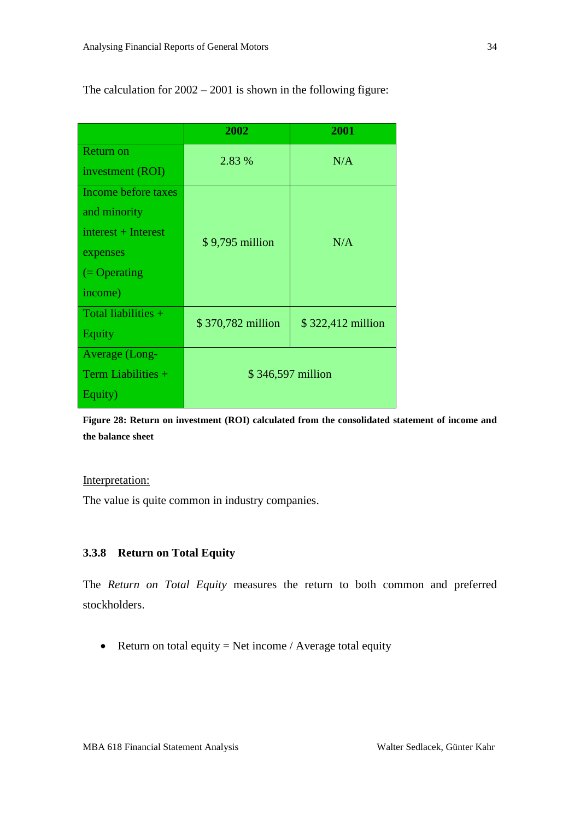|                       | 2002              | 2001              |  |  |
|-----------------------|-------------------|-------------------|--|--|
| <b>Return on</b>      | 2.83 %            | N/A               |  |  |
| investment (ROI)      |                   |                   |  |  |
| Income before taxes   |                   |                   |  |  |
| and minority          |                   |                   |  |  |
| $interest + Interest$ | \$9,795 million   | N/A               |  |  |
| expenses              |                   |                   |  |  |
| $=$ Operating         |                   |                   |  |  |
| income)               |                   |                   |  |  |
| Total liabilities $+$ | \$370,782 million | \$322,412 million |  |  |
| Equity                |                   |                   |  |  |
| <b>Average</b> (Long- |                   |                   |  |  |
| Term Liabilities $+$  | \$346,597 million |                   |  |  |
| Equity)               |                   |                   |  |  |

The calculation for 2002 – 2001 is shown in the following figure:

<span id="page-33-1"></span>**Figure 28: Return on investment (ROI) calculated from the consolidated statement of income and the balance sheet**

#### Interpretation:

The value is quite common in industry companies.

### <span id="page-33-0"></span>**3.3.8 Return on Total Equity**

The *Return on Total Equity* measures the return to both common and preferred stockholders.

• Return on total equity  $=$  Net income / Average total equity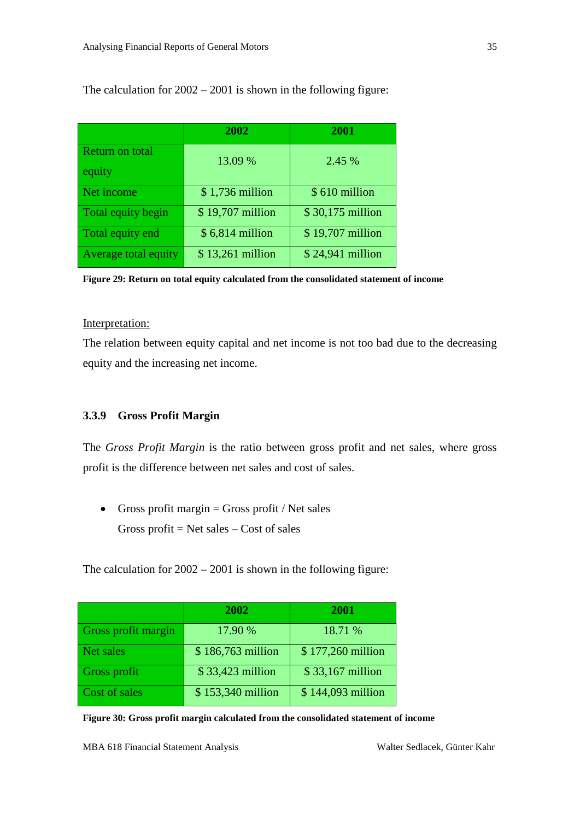|                        | 2002             | 2001             |
|------------------------|------------------|------------------|
| <b>Return on total</b> | 13.09 %          | 2.45 %           |
| equity                 |                  |                  |
| Net income             | $$1,736$ million | \$610 million    |
| Total equity begin     | \$19,707 million | \$30,175 million |
| Total equity end       | \$6,814 million  | \$19,707 million |
| Average total equity   | \$13,261 million | \$24,941 million |

The calculation for 2002 – 2001 is shown in the following figure:

<span id="page-34-1"></span>**Figure 29: Return on total equity calculated from the consolidated statement of income**

#### Interpretation:

The relation between equity capital and net income is not too bad due to the decreasing equity and the increasing net income.

# <span id="page-34-0"></span>**3.3.9 Gross Profit Margin**

The *Gross Profit Margin* is the ratio between gross profit and net sales, where gross profit is the difference between net sales and cost of sales.

• Gross profit margin  $=$  Gross profit / Net sales Gross profit  $=$  Net sales  $-$  Cost of sales

The calculation for 2002 – 2001 is shown in the following figure:

|                            | 2002              | 2001              |
|----------------------------|-------------------|-------------------|
| <b>Gross profit margin</b> | 17.90 %           | 18.71 %           |
| Net sales                  | \$186,763 million | \$177,260 million |
| Gross profit               | \$33,423 million  | \$33,167 million  |
| Cost of sales              | \$153,340 million | \$144,093 million |

<span id="page-34-2"></span>**Figure 30: Gross profit margin calculated from the consolidated statement of income**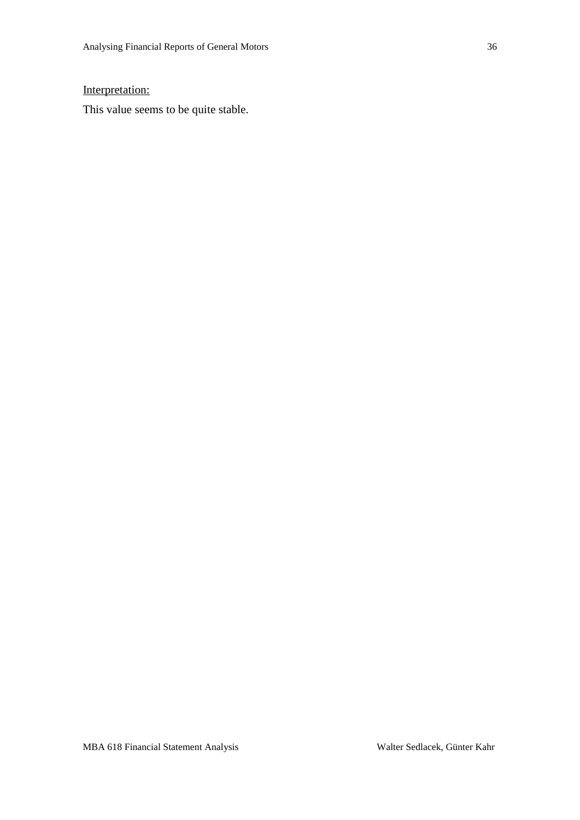## Interpretation:

This value seems to be quite stable.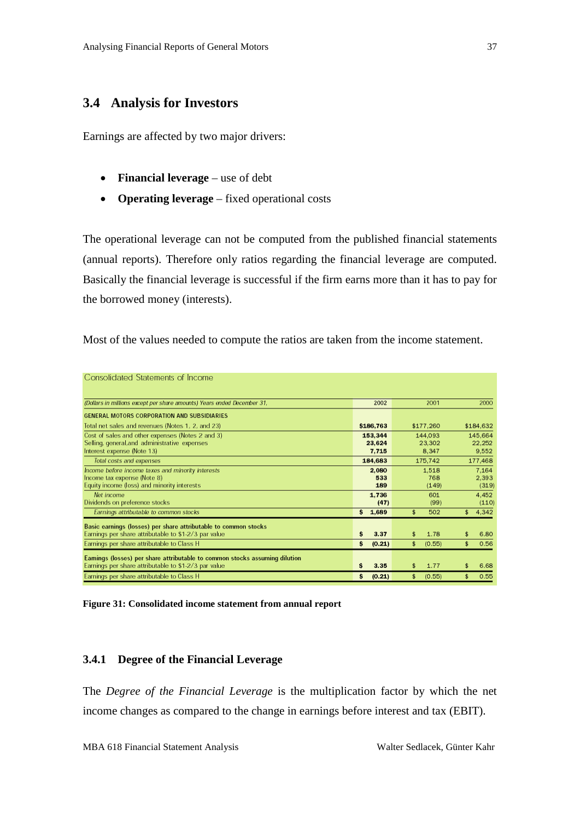### <span id="page-36-0"></span>**3.4 Analysis for Investors**

Earnings are affected by two major drivers:

- **Financial leverage** use of debt
- **Operating leverage** fixed operational costs

The operational leverage can not be computed from the published financial statements (annual reports). Therefore only ratios regarding the financial leverage are computed. Basically the financial leverage is successful if the firm earns more than it has to pay for the borrowed money (interests).

Most of the values needed to compute the ratios are taken from the income statement.

| Consolidated Statements of Income                                                                                                  |                            |                       |                            |
|------------------------------------------------------------------------------------------------------------------------------------|----------------------------|-----------------------|----------------------------|
| (Dollars in millions except per share amounts) Years ended December 31,                                                            | 2002                       | 2001                  | 2000                       |
| GENERAL MOTORS CORPORATION AND SUBSIDIARIES                                                                                        |                            |                       |                            |
| Total net sales and revenues (Notes 1, 2, and 23)                                                                                  | \$186,763                  | \$177,260             | \$184,632                  |
| Cost of sales and other expenses (Notes 2 and 3)<br>Selling, general, and administrative expenses<br>Interest expense (Note 13)    | 153,344<br>23.624<br>7.715 | 144,093<br>23,302     | 145.664<br>22.252<br>9.552 |
| Total costs and expenses                                                                                                           | 184,683                    | 8.347<br>175,742      | 177,468                    |
| Income before income taxes and minority interests<br>Income tax expense (Note 8)<br>Equity income (loss) and minority interests    | 2.080<br>533<br>189        | 1,518<br>768<br>(149) | 7.164<br>2,393<br>(319)    |
| Net income<br>Dividends on preference stocks                                                                                       | 1.736<br>(47)              | 601<br>(99)           | 4.452<br>(110)             |
| Earnings attributable to common stocks                                                                                             | \$1,689                    | \$<br>502             | 4,342<br>\$                |
| Basic earnings (losses) per share attributable to common stocks<br>Earnings per share attributable to \$1-2/3 par value            | \$<br>3.37                 | 1.78<br>\$            | 6.80<br>\$                 |
| Earnings per share attributable to Class H                                                                                         | \$<br>(0.21)               | \$<br>(0.55)          | \$<br>0.56                 |
| Eamings (losses) per share attributable to common stocks assuming dilution<br>Earnings per share attributable to \$1-2/3 par value | Ś.<br>3.35                 | 1.77<br>\$            | 6.68<br>\$                 |
| Earnings per share attributable to Class H                                                                                         | s<br>(0.21)                | \$<br>(0.55)          | 0.55<br>\$                 |

<span id="page-36-2"></span>**Figure 31: Consolidated income statement from annual report**

#### <span id="page-36-1"></span>**3.4.1 Degree of the Financial Leverage**

The *Degree of the Financial Leverage* is the multiplication factor by which the net income changes as compared to the change in earnings before interest and tax (EBIT).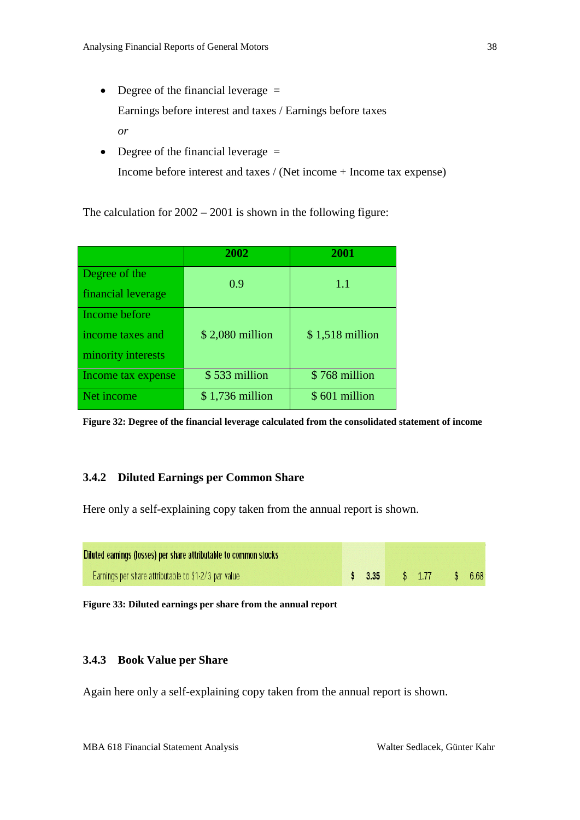- Degree of the financial leverage  $=$ Earnings before interest and taxes / Earnings before taxes *or*
- Degree of the financial leverage = Income before interest and taxes / (Net income + Income tax expense)

The calculation for 2002 – 2001 is shown in the following figure:

|                    | 2002             | 2001             |
|--------------------|------------------|------------------|
| Degree of the      | 0.9              | 1.1              |
| financial leverage |                  |                  |
| Income before      |                  |                  |
| income taxes and   | $$2,080$ million | $$1,518$ million |
| minority interests |                  |                  |
| Income tax expense | \$533 million    | \$768 million    |
| Net income         | $$1,736$ million | \$601 million    |

<span id="page-37-2"></span>**Figure 32: Degree of the financial leverage calculated from the consolidated statement of income**

### <span id="page-37-0"></span>**3.4.2 Diluted Earnings per Common Share**

Here only a self-explaining copy taken from the annual report is shown.

| Diluted earnings (losses) per share attributable to common stocks |  |  |                         |  |  |
|-------------------------------------------------------------------|--|--|-------------------------|--|--|
| Earnings per share attributable to \$1-2/3 par value              |  |  | \$ 3.35 \$ 1.77 \$ 6.68 |  |  |

<span id="page-37-3"></span>**Figure 33: Diluted earnings per share from the annual report**

### <span id="page-37-1"></span>**3.4.3 Book Value per Share**

Again here only a self-explaining copy taken from the annual report is shown.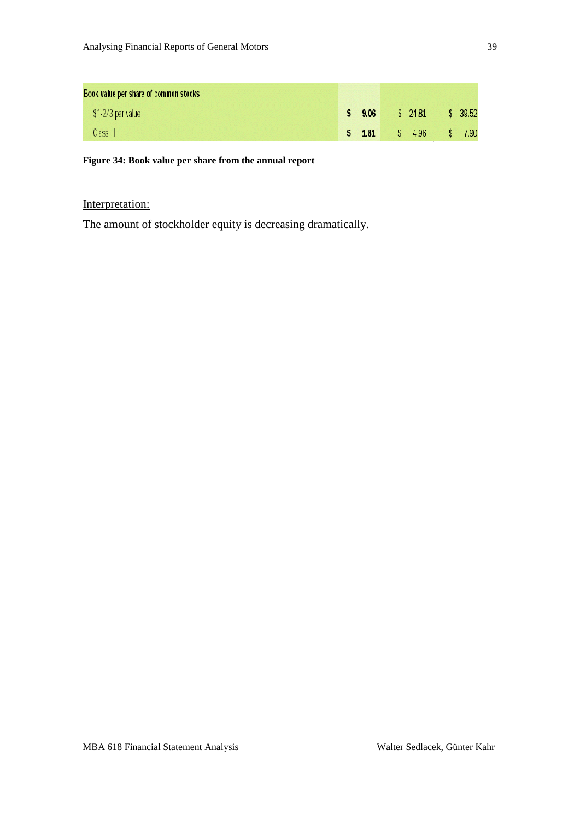| Book value per share of common stocks |              |        |         |         |
|---------------------------------------|--------------|--------|---------|---------|
| \$1-2/3 par value                     |              | \$9.06 | \$24.81 | \$39.52 |
| Class H                               | $\mathbf{s}$ | 1.81   | \$ 4.96 | 7.90    |

#### <span id="page-38-0"></span>**Figure 34: Book value per share from the annual report**

# Interpretation:

The amount of stockholder equity is decreasing dramatically.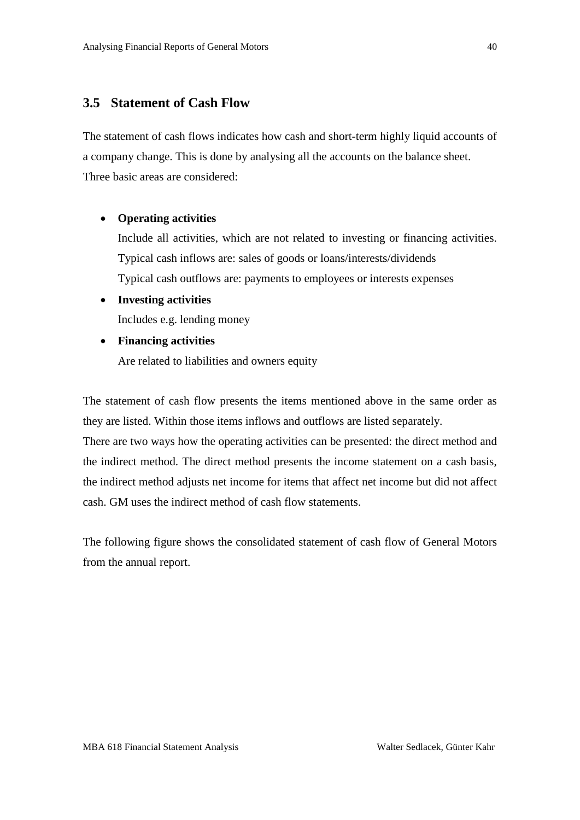## <span id="page-39-0"></span>**3.5 Statement of Cash Flow**

The statement of cash flows indicates how cash and short-term highly liquid accounts of a company change. This is done by analysing all the accounts on the balance sheet. Three basic areas are considered:

#### • **Operating activities**

Include all activities, which are not related to investing or financing activities. Typical cash inflows are: sales of goods or loans/interests/dividends Typical cash outflows are: payments to employees or interests expenses

- **Investing activities** Includes e.g. lending money
- **Financing activities**

Are related to liabilities and owners equity

The statement of cash flow presents the items mentioned above in the same order as they are listed. Within those items inflows and outflows are listed separately.

There are two ways how the operating activities can be presented: the direct method and the indirect method. The direct method presents the income statement on a cash basis, the indirect method adjusts net income for items that affect net income but did not affect cash. GM uses the indirect method of cash flow statements.

The following figure shows the consolidated statement of cash flow of General Motors from the annual report.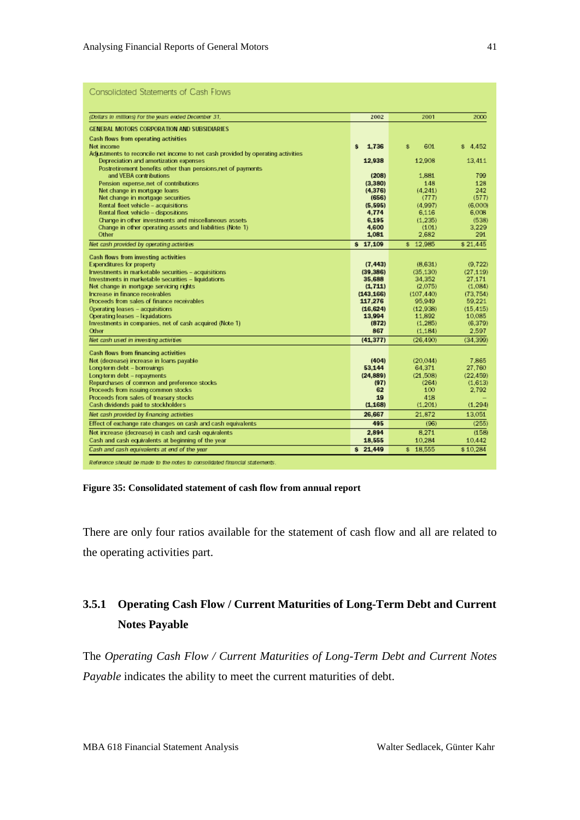| Consolidated Statements of Cash Hows                                                                       |                    |                    |                    |
|------------------------------------------------------------------------------------------------------------|--------------------|--------------------|--------------------|
| (Dollars in millions) For the years ended December 31,                                                     | 2002               | 2001               | 2000               |
| GENERAL MOTORS CORPORATION AND SUBSIDIARIES                                                                |                    |                    |                    |
| Cash flows from operating activities                                                                       |                    |                    |                    |
| Net income                                                                                                 | 1.736<br>ŝ.        | 601<br>\$          | \$4.452            |
| Adjustments to reconcile net income to net cash provided by operating activities                           |                    |                    |                    |
| Depreciation and amortization expenses                                                                     | 12,938             | 12.908             | 13.411             |
| Postretirement benefits other than pensions, net of payments                                               |                    |                    |                    |
| and VEBA contributions                                                                                     | (208)              | 1.881              | 799                |
| Pension expense net of contributions                                                                       | (3,380)            | 148                | 128                |
| Net change in mortgage loans                                                                               | (4.376)            | (4.241)            | 242                |
| Net change in mortgage securities                                                                          | (656)              | (777)              | (577)              |
| Rental fleet vehicle - acquisitions<br>Rental fleet vehicle - dispositions                                 | (5, 595)<br>4,774  | (4.997)<br>6.116   | (6,000)<br>6.008   |
| Change in other investments and miscellaneous assets                                                       | 6.195              | (1.235)            | (538)              |
| Change in other operating assets and liabilities (Note 1)                                                  | 4,600              | (101)              | 3.229              |
| Other                                                                                                      | 1.081              | 2.682              | 291                |
| Net cash provided by operating activities                                                                  | \$17.109           | \$12.985           | \$21.445           |
|                                                                                                            |                    |                    |                    |
| Cash flows from investing activities                                                                       |                    |                    |                    |
| <b>Expenditures for property</b>                                                                           | (7, 443)           | (8,631)            | (9.722)            |
| Investments in marketable securities - acquisitions<br>Investments in marketable securities - liquidations | (39.386)<br>35,688 | (35.130)<br>34.352 | (27.119)<br>27.171 |
| Net change in mortgage servicing rights                                                                    | (1.711)            | (2.075)            | (1.084)            |
| Increase in finance receivables                                                                            | (143.166)          | (107.440)          | (73, 754)          |
| Proceeds from sales of finance receivables                                                                 | 117,276            | 95.949             | 59.221             |
| Operating leases - acquisitions                                                                            | (16, 624)          | (12.938)           | (15.415)           |
| Operating leases - liquidations                                                                            | 13,994             | 11.892             | 10,085             |
| Investments in companies, net of cash acquired (Note 1)                                                    | (872)              | (1.285)            | (6.379)            |
| Other                                                                                                      | 867                | (1.184)            | 2.597              |
| Net cash used in investing activities                                                                      | (41.377)           | (26.490)           | (34, 399)          |
| <b>Cash flows from financing activities</b>                                                                |                    |                    |                    |
| Net (decrease) increase in loans payable                                                                   | (404)              | (20.044)           | 7.865              |
| Long-term debt - borrowings                                                                                | 53,144             | 64.371             | 27.760             |
| Long-term debt - repayments                                                                                | (24.889)           | (21.508)           | (22.459)           |
| Repurchases of common and preference stocks                                                                | (97)               | (264)              | (1.613)            |
| Proceeds from issuing common stocks                                                                        | 62                 | 100                | 2.792              |
| Proceeds from sales of treasury stocks                                                                     | 19                 | 418                |                    |
| Cash dividends paid to stockholders                                                                        | (1.168)            | (1.201)            | (1.294)            |
| Net cash provided by financing activities                                                                  | 26,667             | 21.872             | 13.051             |
| Effect of exchange rate changes on cash and cash equivalents                                               | 495                | (96)               | (255)              |
| Net increase (decrease) in cash and cash equivalents                                                       | 2.894              | 8.271              | (158)              |
| Cash and cash equivalents at beginning of the year                                                         | 18,555             | 10.284             | 10.442             |
| Cash and cash equivalents at end of the year                                                               | \$21.449           | \$18.555           | \$10.284           |

Reference should be made to the notes to consolidated financial statements.

#### <span id="page-40-1"></span>**Figure 35: Consolidated statement of cash flow from annual report**

There are only four ratios available for the statement of cash flow and all are related to the operating activities part.

# <span id="page-40-0"></span>**3.5.1 Operating Cash Flow / Current Maturities of Long-Term Debt and Current Notes Payable**

The *Operating Cash Flow / Current Maturities of Long-Term Debt and Current Notes Payable* indicates the ability to meet the current maturities of debt.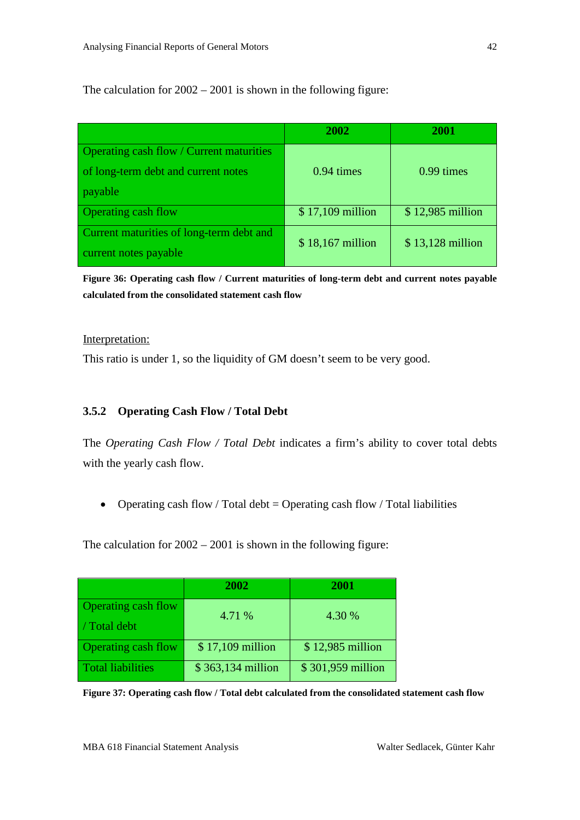The calculation for 2002 – 2001 is shown in the following figure:

|                                          | 2002             | 2001             |
|------------------------------------------|------------------|------------------|
| Operating cash flow / Current maturities |                  |                  |
| of long-term debt and current notes      | $0.94 \times$    | 0.99 times       |
| payable                                  |                  |                  |
| <b>Operating cash flow</b>               | \$17,109 million | \$12,985 million |
| Current maturities of long-term debt and | \$18,167 million | \$13,128 million |
| current notes payable                    |                  |                  |

<span id="page-41-1"></span>**Figure 36: Operating cash flow / Current maturities of long-term debt and current notes payable calculated from the consolidated statement cash flow**

#### Interpretation:

This ratio is under 1, so the liquidity of GM doesn't seem to be very good.

### <span id="page-41-0"></span>**3.5.2 Operating Cash Flow / Total Debt**

The *Operating Cash Flow / Total Debt* indicates a firm's ability to cover total debts with the yearly cash flow.

• Operating cash flow / Total debt = Operating cash flow / Total liabilities

The calculation for 2002 – 2001 is shown in the following figure:

|                            | 2002              | 2001              |
|----------------------------|-------------------|-------------------|
| Operating cash flow        | 4.71 %            | 4.30 %            |
| / Total debt               |                   |                   |
| <b>Operating cash flow</b> | \$17,109 million  | \$12,985 million  |
| <b>Total liabilities</b>   | \$363,134 million | \$301,959 million |

<span id="page-41-2"></span>**Figure 37: Operating cash flow / Total debt calculated from the consolidated statement cash flow**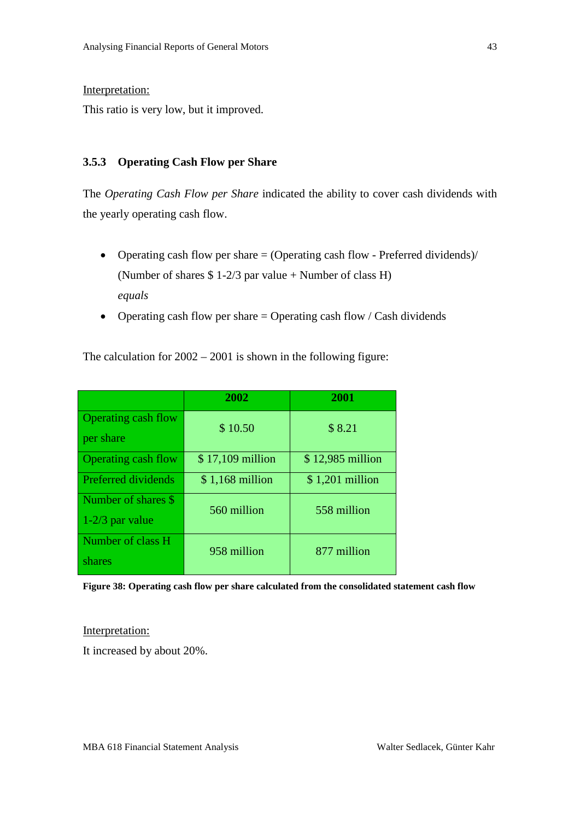#### Interpretation:

This ratio is very low, but it improved.

#### <span id="page-42-0"></span>**3.5.3 Operating Cash Flow per Share**

The *Operating Cash Flow per Share* indicated the ability to cover cash dividends with the yearly operating cash flow.

- Operating cash flow per share  $=$  (Operating cash flow Preferred dividends)/ (Number of shares \$ 1-2/3 par value + Number of class H) *equals*
- Operating cash flow per share  $=$  Operating cash flow / Cash dividends

The calculation for 2002 – 2001 is shown in the following figure:

|                            | 2002             | 2001             |
|----------------------------|------------------|------------------|
| <b>Operating cash flow</b> | \$10.50          | \$8.21           |
| per share                  |                  |                  |
| <b>Operating cash flow</b> | \$17,109 million | \$12,985 million |
| <b>Preferred dividends</b> | $$1,168$ million | $$1,201$ million |
| Number of shares \$        | 560 million      | 558 million      |
| $1-2/3$ par value          |                  |                  |
| Number of class H          | 958 million      | 877 million      |
| shares                     |                  |                  |

<span id="page-42-1"></span>**Figure 38: Operating cash flow per share calculated from the consolidated statement cash flow**

#### Interpretation:

It increased by about 20%.

43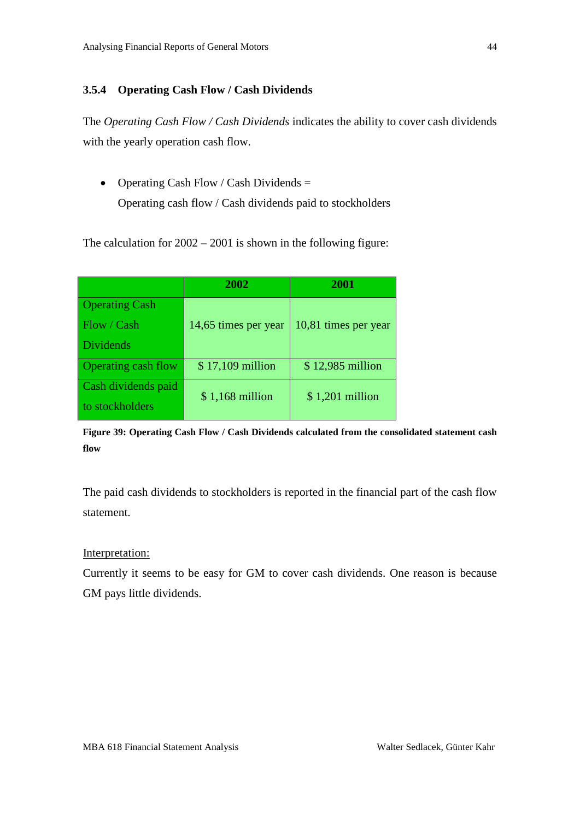#### <span id="page-43-0"></span>**3.5.4 Operating Cash Flow / Cash Dividends**

The *Operating Cash Flow / Cash Dividends* indicates the ability to cover cash dividends with the yearly operation cash flow.

• Operating Cash Flow / Cash Dividends = Operating cash flow / Cash dividends paid to stockholders

The calculation for 2002 – 2001 is shown in the following figure:

|                       | 2002                 | 2001                 |
|-----------------------|----------------------|----------------------|
| <b>Operating Cash</b> |                      |                      |
| Flow / Cash           | 14,65 times per year | 10,81 times per year |
| <b>Dividends</b>      |                      |                      |
| Operating cash flow   | \$17,109 million     | \$12,985 million     |
| Cash dividends paid   | $$1,168$ million     | $$1,201$ million     |
| to stockholders       |                      |                      |

<span id="page-43-1"></span>**Figure 39: Operating Cash Flow / Cash Dividends calculated from the consolidated statement cash flow**

The paid cash dividends to stockholders is reported in the financial part of the cash flow statement.

#### Interpretation:

Currently it seems to be easy for GM to cover cash dividends. One reason is because GM pays little dividends.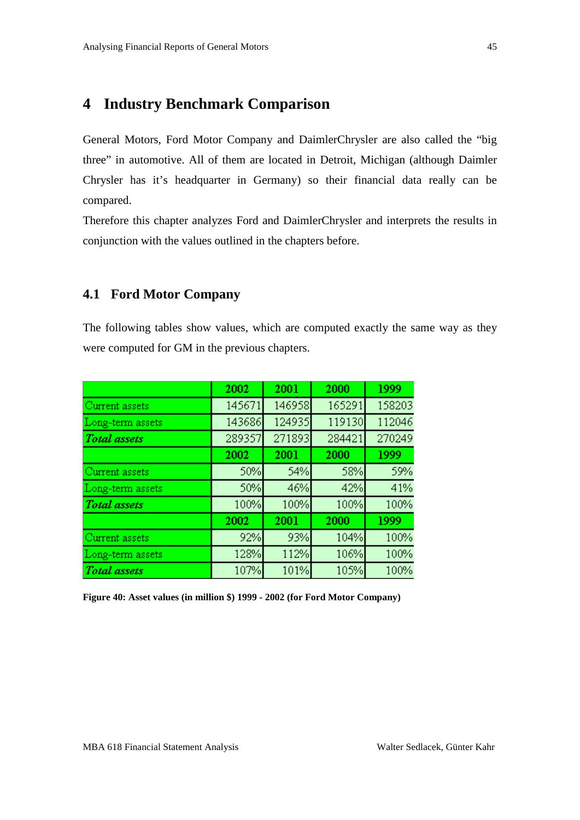# <span id="page-44-0"></span>**4 Industry Benchmark Comparison**

General Motors, Ford Motor Company and DaimlerChrysler are also called the "big three" in automotive. All of them are located in Detroit, Michigan (although Daimler Chrysler has it's headquarter in Germany) so their financial data really can be compared.

Therefore this chapter analyzes Ford and DaimlerChrysler and interprets the results in conjunction with the values outlined in the chapters before.

### <span id="page-44-1"></span>**4.1 Ford Motor Company**

The following tables show values, which are computed exactly the same way as they were computed for GM in the previous chapters.

|                     | 2002   | 2001   | 2000   | 1999   |
|---------------------|--------|--------|--------|--------|
| Current assets      | 145671 | 146958 | 165291 | 158203 |
| Long-term assets    | 143686 | 124935 | 119130 | 112046 |
| <b>Total</b> assets | 289357 | 271893 | 284421 | 270249 |
|                     | 2002   | 2001   | 2000   | 1999   |
| Current assets      | 50%    | 54%    | 58%    | 59%    |
| Long-term assets    | 50%    | 46%    | 42%    | 41%    |
| <b>Total</b> assets | 100%   | 100%   | 100%   | 100%   |
|                     | 2002   | 2001   | 2000   | 1999   |
| Current assets      | 92%    | 93%    | 104%   | 100%   |
| Long-term assets    | 128%   | 112%   | 106%   | 100%   |
| <b>Total</b> assets | 107%   | 101%   | 105%   | 100%   |

<span id="page-44-2"></span>**Figure 40: Asset values (in million \$) 1999 - 2002 (for Ford Motor Company)**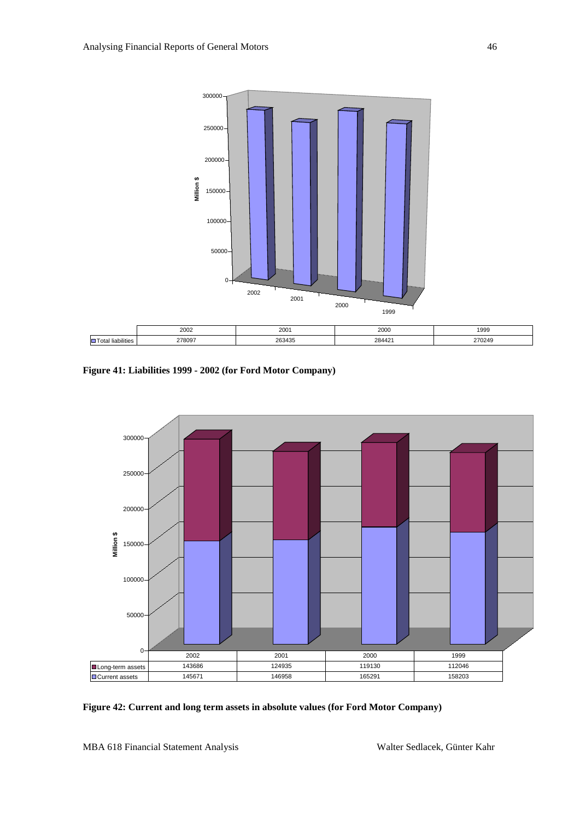

<span id="page-45-0"></span>**Figure 41: Liabilities 1999 - 2002 (for Ford Motor Company)**



<span id="page-45-1"></span>**Figure 42: Current and long term assets in absolute values (for Ford Motor Company)**

MBA 618 Financial Statement Analysis Walter Sedlacek, Günter Kahr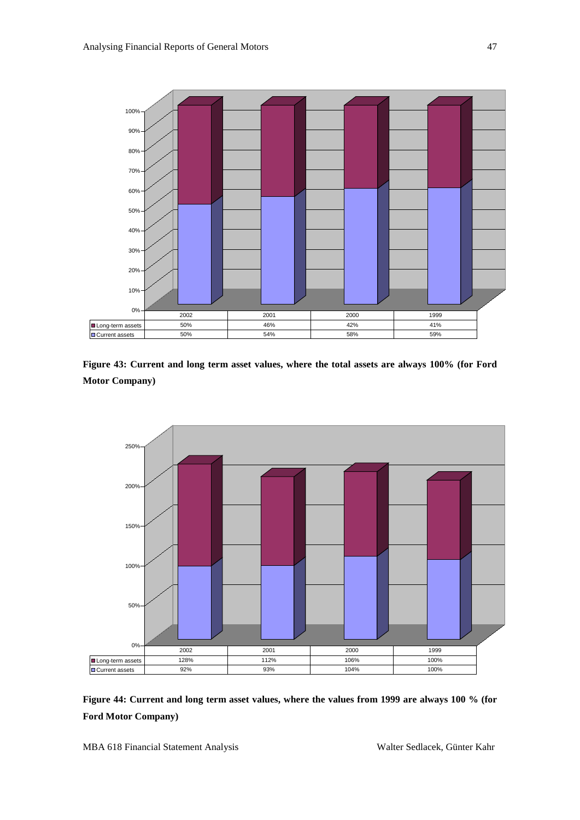

<span id="page-46-0"></span>**Figure 43: Current and long term asset values, where the total assets are always 100% (for Ford Motor Company)**



<span id="page-46-1"></span>**Figure 44: Current and long term asset values, where the values from 1999 are always 100 % (for Ford Motor Company)**

MBA 618 Financial Statement Analysis Walter Sedlacek, Günter Kahr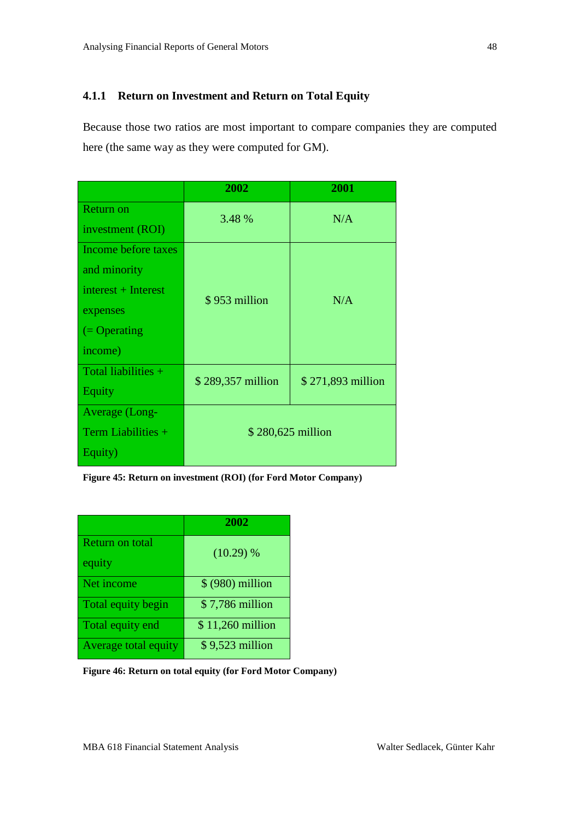### <span id="page-47-0"></span>**4.1.1 Return on Investment and Return on Total Equity**

Because those two ratios are most important to compare companies they are computed here (the same way as they were computed for GM).

|                        | 2002              | 2001              |  |
|------------------------|-------------------|-------------------|--|
| <b>Return on</b>       | 3.48 %            | N/A               |  |
| investment (ROI)       |                   |                   |  |
| Income before taxes    |                   |                   |  |
| and minority           |                   |                   |  |
| interest + Interest    | \$953 million     | N/A               |  |
| expenses               |                   |                   |  |
| $( = \text{Operating}$ |                   |                   |  |
| income)                |                   |                   |  |
| Total liabilities +    | \$289,357 million | \$271,893 million |  |
| Equity                 |                   |                   |  |
| Average (Long-         |                   |                   |  |
| Term Liabilities +     | \$280,625 million |                   |  |
| Equity)                |                   |                   |  |

<span id="page-47-1"></span>**Figure 45: Return on investment (ROI) (for Ford Motor Company)**

|                      | 2002              |
|----------------------|-------------------|
| Return on total      | $(10.29)$ %       |
| equity               |                   |
| Net income           | $$ (980)$ million |
| Total equity begin   | \$7,786 million   |
| Total equity end     | \$11,260 million  |
| Average total equity | \$9,523 million   |

<span id="page-47-2"></span>**Figure 46: Return on total equity (for Ford Motor Company)**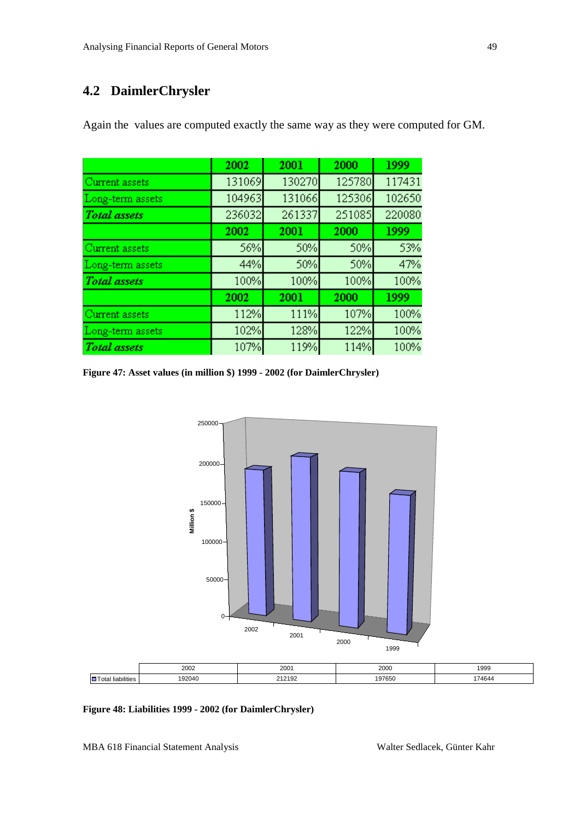# <span id="page-48-0"></span>**4.2 DaimlerChrysler**

|                     | 2002   | 2001   | 2000   | 1999   |
|---------------------|--------|--------|--------|--------|
| Current assets      | 131069 | 130270 | 125780 | 117431 |
| Long-term assets    | 104963 | 131066 | 125306 | 102650 |
| <b>Total</b> assets | 236032 | 261337 | 251085 | 220080 |
|                     | 2002   | 2001   | 2000   | 1999   |
| Current assets      | 56%    | 50%    | 50%    | 53%    |
| Long-term assets    | 44%    | 50%    | 50%    | 47%    |
| <b>Total</b> assets | 100%   | 100%   | 100%   | 100%   |
|                     | 2002   | 2001   | 2000   | 1999   |
| Current assets      | 112%   | 111%   | 107%   | 100%   |
| Long-term assets    | 102%   | 128%   | 122%   | 100%   |
| <b>Total</b> assets | 107%   | 119%   | 114%   | 100%   |

Again the values are computed exactly the same way as they were computed for GM.

<span id="page-48-1"></span>**Figure 47: Asset values (in million \$) 1999 - 2002 (for DaimlerChrysler)**



#### <span id="page-48-2"></span>**Figure 48: Liabilities 1999 - 2002 (for DaimlerChrysler)**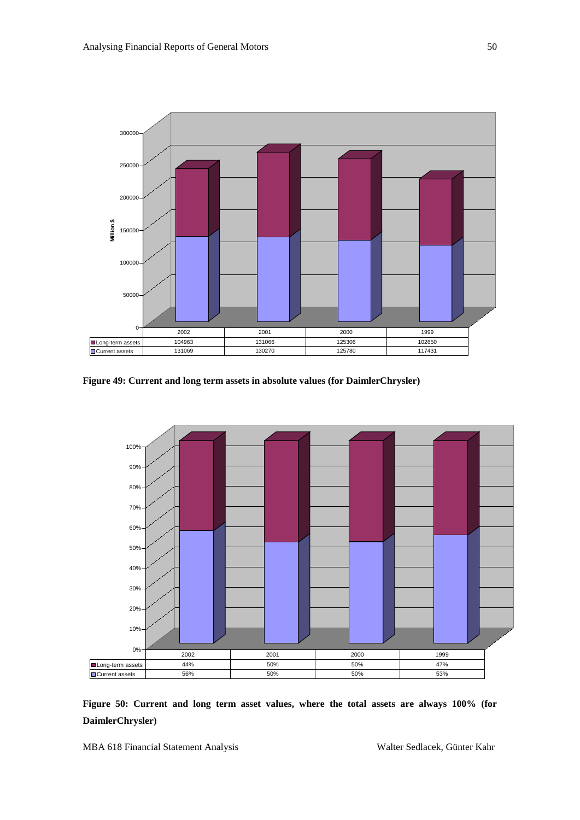

<span id="page-49-0"></span>**Figure 49: Current and long term assets in absolute values (for DaimlerChrysler)**



<span id="page-49-1"></span>**Figure 50: Current and long term asset values, where the total assets are always 100% (for DaimlerChrysler)**

MBA 618 Financial Statement Analysis Walter Sedlacek, Günter Kahr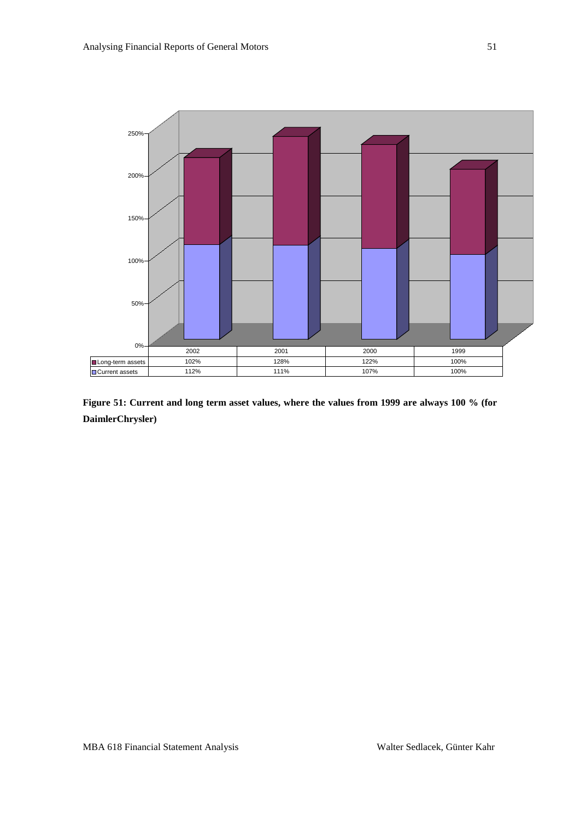

<span id="page-50-0"></span>**Figure 51: Current and long term asset values, where the values from 1999 are always 100 % (for DaimlerChrysler)**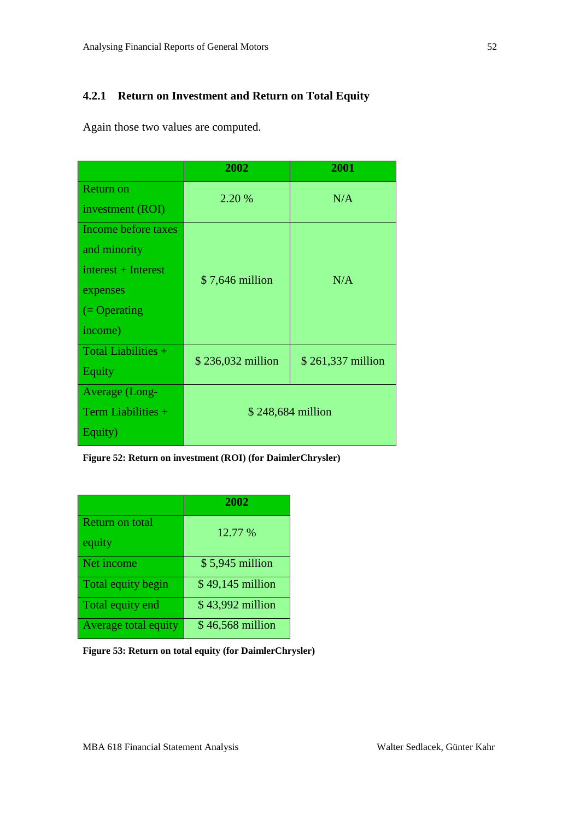## <span id="page-51-0"></span>**4.2.1 Return on Investment and Return on Total Equity**

Again those two values are computed.

|                        | 2002              | 2001              |  |
|------------------------|-------------------|-------------------|--|
| <b>Return on</b>       | 2.20 %            | N/A               |  |
| investment (ROI)       |                   |                   |  |
| Income before taxes    |                   |                   |  |
| and minority           |                   |                   |  |
| interest + Interest    | $$7,646$ million  | N/A               |  |
| expenses               |                   |                   |  |
| $( = \text{Operating}$ |                   |                   |  |
| income)                |                   |                   |  |
| Total Liabilities +    | \$236,032 million | \$261,337 million |  |
| Equity                 |                   |                   |  |
| Average (Long-         |                   |                   |  |
| Term Liabilities $+$   | \$248,684 million |                   |  |
| Equity)                |                   |                   |  |

<span id="page-51-1"></span>**Figure 52: Return on investment (ROI) (for DaimlerChrysler)**

|                      | 2002             |
|----------------------|------------------|
| Return on total      | 12.77 %          |
| equity               |                  |
| Net income           | \$5,945 million  |
| Total equity begin   | \$49,145 million |
| Total equity end     | \$43,992 million |
| Average total equity | \$46,568 million |

<span id="page-51-2"></span>**Figure 53: Return on total equity (for DaimlerChrysler)**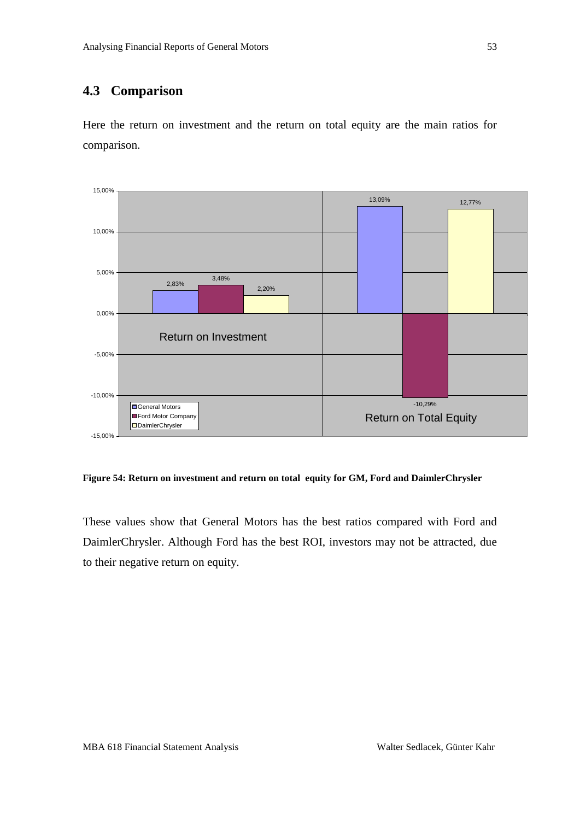### <span id="page-52-0"></span>**4.3 Comparison**

Here the return on investment and the return on total equity are the main ratios for comparison.



<span id="page-52-1"></span>**Figure 54: Return on investment and return on total equity for GM, Ford and DaimlerChrysler**

These values show that General Motors has the best ratios compared with Ford and DaimlerChrysler. Although Ford has the best ROI, investors may not be attracted, due to their negative return on equity.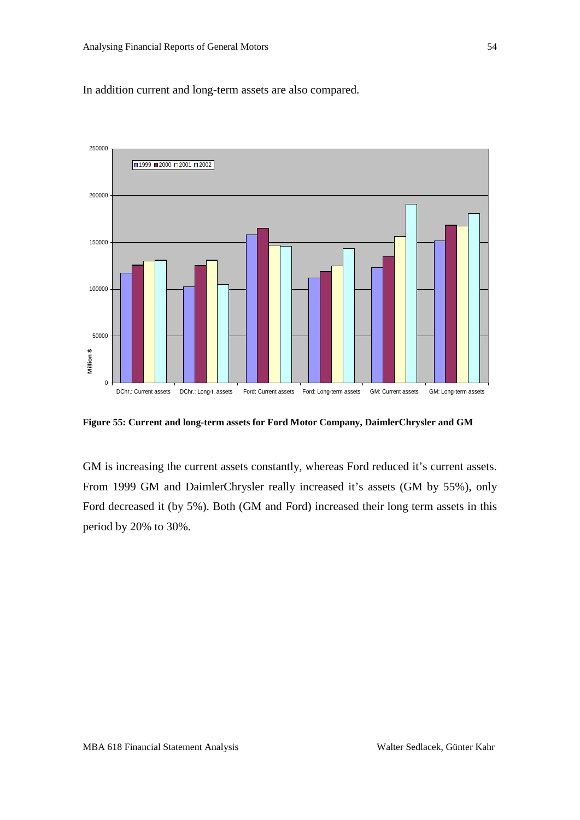In addition current and long-term assets are also compared.



<span id="page-53-0"></span>**Figure 55: Current and long-term assets for Ford Motor Company, DaimlerChrysler and GM**

GM is increasing the current assets constantly, whereas Ford reduced it's current assets. From 1999 GM and DaimlerChrysler really increased it's assets (GM by 55%), only Ford decreased it (by 5%). Both (GM and Ford) increased their long term assets in this period by 20% to 30%.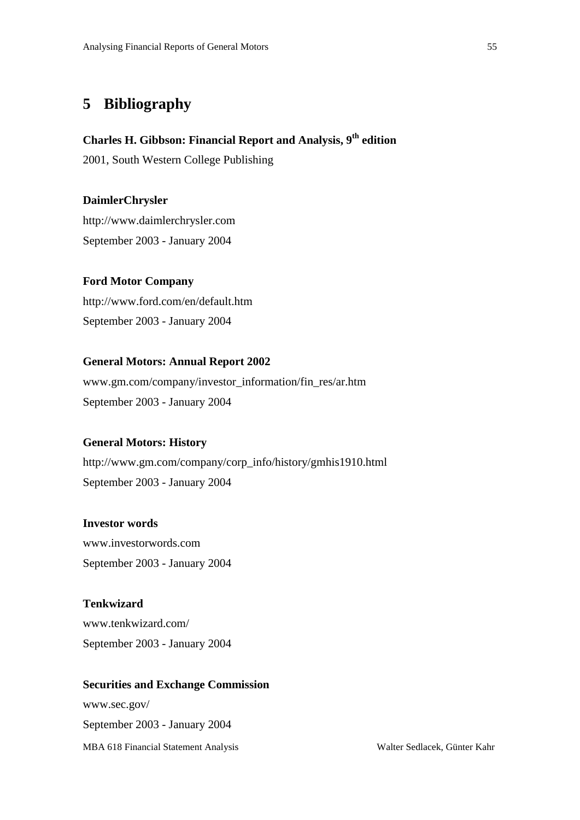# <span id="page-54-0"></span>**5 Bibliography**

### **Charles H. Gibbson: Financial Report and Analysis, 9th edition**

2001, South Western College Publishing

**DaimlerChrysler** http://www.daimlerchrysler.com September 2003 - January 2004

#### **Ford Motor Company**

http://www.ford.com/en/default.htm September 2003 - January 2004

#### **General Motors: Annual Report 2002**

www.gm.com/company/investor\_information/fin\_res/ar.htm September 2003 - January 2004

### **General Motors: History**

http://www.gm.com/company/corp\_info/history/gmhis1910.html September 2003 - January 2004

**Investor words**

www.investorwords.com September 2003 - January 2004

## **Tenkwizard**

www.tenkwizard.com/ September 2003 - January 2004

#### **Securities and Exchange Commission**

MBA 618 Financial Statement Analysis Walter Sedlacek, Günter Kahr www.sec.gov/ September 2003 - January 2004